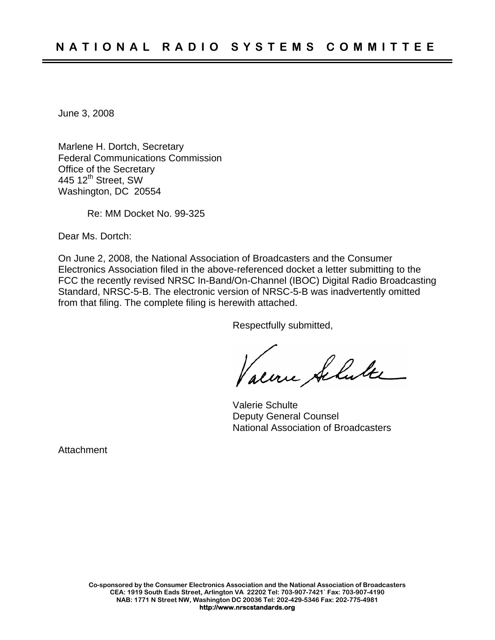June 3, 2008

Marlene H. Dortch, Secretary Federal Communications Commission Office of the Secretary 445 12<sup>th</sup> Street, SW Washington, DC 20554

Re: MM Docket No. 99-325

Dear Ms. Dortch:

On June 2, 2008, the National Association of Broadcasters and the Consumer Electronics Association filed in the above-referenced docket a letter submitting to the FCC the recently revised NRSC In-Band/On-Channel (IBOC) Digital Radio Broadcasting Standard, NRSC-5-B. The electronic version of NRSC-5-B was inadvertently omitted from that filing. The complete filing is herewith attached.

Respectfully submitted,

alone Alute

 Valerie Schulte Deputy General Counsel National Association of Broadcasters

**Attachment**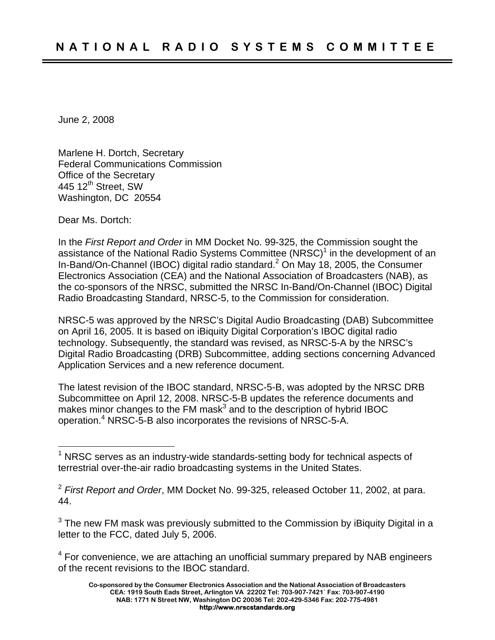June 2, 2008

Marlene H. Dortch, Secretary Federal Communications Commission Office of the Secretary 445 12<sup>th</sup> Street, SW Washington, DC 20554

Dear Ms. Dortch:

 $\overline{a}$ 

In the *First Report and Order* in MM Docket No. 99-325, the Commission sought the assistance of the National Radio Systems Committee (NRSC) $<sup>1</sup>$  $<sup>1</sup>$  $<sup>1</sup>$  in the development of an</sup> In-Band/On-Channel (IBOC) digital radio standard.<sup>[2](#page-1-1)</sup> On May 18, 2005, the Consumer Electronics Association (CEA) and the National Association of Broadcasters (NAB), as the co-sponsors of the NRSC, submitted the NRSC In-Band/On-Channel (IBOC) Digital Radio Broadcasting Standard, NRSC-5, to the Commission for consideration.

NRSC-5 was approved by the NRSC's Digital Audio Broadcasting (DAB) Subcommittee on April 16, 2005. It is based on iBiquity Digital Corporation's IBOC digital radio technology. Subsequently, the standard was revised, as NRSC-5-A by the NRSC's Digital Radio Broadcasting (DRB) Subcommittee, adding sections concerning Advanced Application Services and a new reference document.

The latest revision of the IBOC standard, NRSC-5-B, was adopted by the NRSC DRB Subcommittee on April 12, 2008. NRSC-5-B updates the reference documents and makes minor changes to the FM mask $3$  and to the description of hybrid IBOC operation.<sup>[4](#page-1-3)</sup> NRSC-5-B also incorporates the revisions of NRSC-5-A.

<span id="page-1-2"></span> $3$  The new FM mask was previously submitted to the Commission by iBiquity Digital in a letter to the FCC, dated July 5, 2006.

<span id="page-1-3"></span> $4$  For convenience, we are attaching an unofficial summary prepared by NAB engineers of the recent revisions to the IBOC standard.

<span id="page-1-0"></span> $1$  NRSC serves as an industry-wide standards-setting body for technical aspects of terrestrial over-the-air radio broadcasting systems in the United States.

<span id="page-1-1"></span><sup>2</sup> *First Report and Order*, MM Docket No. 99-325, released October 11, 2002, at para. 44.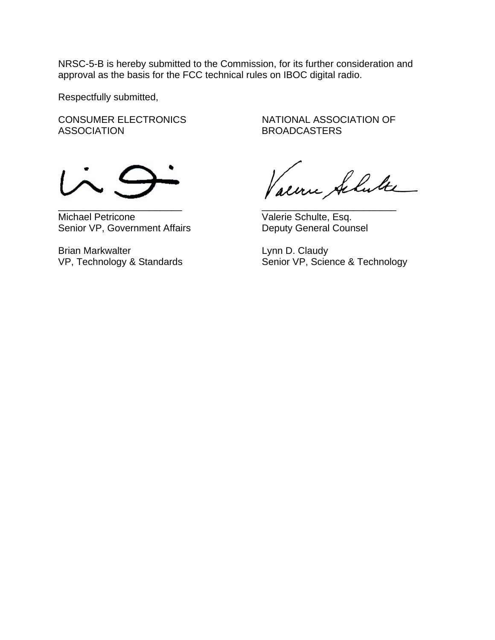NRSC-5-B is hereby submitted to the Commission, for its further consideration and approval as the basis for the FCC technical rules on IBOC digital radio.

Respectfully submitted,

ASSOCIATION BROADCASTERS



Michael Petricone<br>
Senior VP, Government Affairs<br>
Ceputy General Counsel Senior VP, Government Affairs

Brian Markwalter **Lynn D. Claudy** 

CONSUMER ELECTRONICS NATIONAL ASSOCIATION OF

 $\frac{1}{\text{min}}$  Achite

VP, Technology & Standards Senior VP, Science & Technology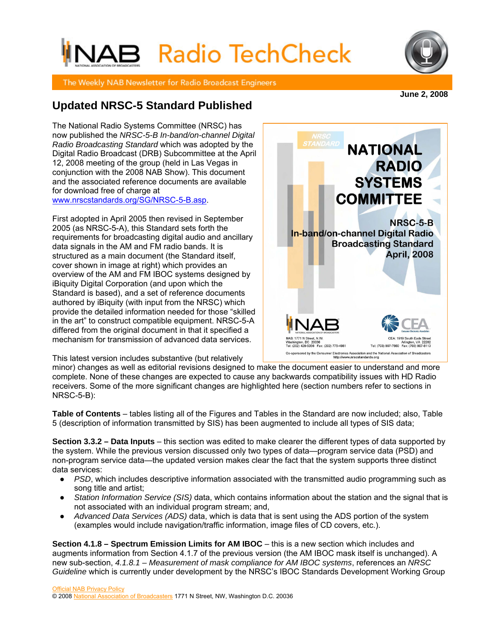# AB Radio TechCheck

The Weekly NAB Newsletter for Radio Broadcast Engineers

# **Updated NRSC-5 Standard Published**

The National Radio Systems Committee (NRSC) has now published the *NRSC-5-B In-band/on-channel Digital Radio Broadcasting Standard* which was adopted by the Digital Radio Broadcast (DRB) Subcommittee at the April 12, 2008 meeting of the group (held in Las Vegas in conjunction with the 2008 NAB Show). This document and the associated reference documents are available for download free of charge at www.nrscstandards.org/SG/NRSC-5-B.asp.

First adopted in April 2005 then revised in September 2005 (as NRSC-5-A), this Standard sets forth the requirements for broadcasting digital audio and ancillary data signals in the AM and FM radio bands. It is structured as a main document (the Standard itself, cover shown in image at right) which provides an overview of the AM and FM IBOC systems designed by iBiquity Digital Corporation (and upon which the Standard is based), and a set of reference documents authored by iBiquity (with input from the NRSC) which provide the detailed information needed for those "skilled in the art" to construct compatible equipment. NRSC-5-A differed from the original document in that it specified a mechanism for transmission of advanced data services.

This latest version includes substantive (but relatively

minor) changes as well as editorial revisions designed to make the document easier to understand and more complete. None of these changes are expected to cause any backwards compatibility issues with HD Radio receivers. Some of the more significant changes are highlighted here (section numbers refer to sections in NRSC-5-B):

**Table of Contents** – tables listing all of the Figures and Tables in the Standard are now included; also, Table 5 (description of information transmitted by SIS) has been augmented to include all types of SIS data;

**Section 3.3.2 – Data Inputs** – this section was edited to make clearer the different types of data supported by the system. While the previous version discussed only two types of data—program service data (PSD) and non-program service data—the updated version makes clear the fact that the system supports three distinct data services:

- **PSD, which includes descriptive information associated with the transmitted audio programming such as** song title and artist;
- *Station Information Service (SIS)* data, which contains information about the station and the signal that is not associated with an individual program stream; and,
- *Advanced Data Services (ADS)* data, which is data that is sent using the ADS portion of the system (examples would include navigation/traffic information, image files of CD covers, etc.).

**Section 4.1.8 – Spectrum Emission Limits for AM IBOC** – this is a new section which includes and augments information from Section 4.1.7 of the previous version (the AM IBOC mask itself is unchanged). A new sub-section, *4.1.8.1 – Measurement of mask compliance for AM IBOC systems*, references an *NRSC Guideline* which is currently under development by the NRSC's IBOC Standards Development Working Group



Arlington, VA<br>Tel: (703) 907-7660 Fax: (703) 90 Co-sponsored by the Consumer Electronics Association and the National Association of Broad-<br>http://www.nrscstandards.org

**June 2, 2008**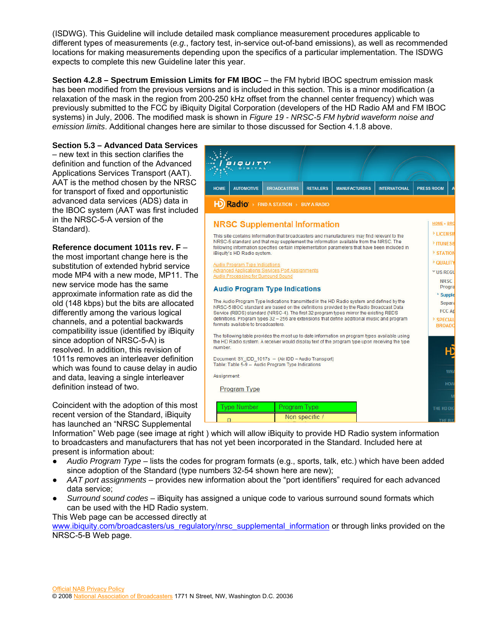(ISDWG). This Guideline will include detailed mask compliance measurement procedures applicable to different types of measurements (*e.g.*, factory test, in-service out-of-band emissions), as well as recommended locations for making measurements depending upon the specifics of a particular implementation. The ISDWG expects to complete this new Guideline later this year.

**Section 4.2.8 – Spectrum Emission Limits for FM IBOC** – the FM hybrid IBOC spectrum emission mask has been modified from the previous versions and is included in this section. This is a minor modification (a relaxation of the mask in the region from 200-250 kHz offset from the channel center frequency) which was previously submitted to the FCC by iBiquity Digital Corporation (developers of the HD Radio AM and FM IBOC systems) in July, 2006. The modified mask is shown in *Figure 19 - NRSC-5 FM hybrid waveform noise and emission limits*. Additional changes here are similar to those discussed for Section 4.1.8 above.

# **Section 5.3 – Advanced Data Services**

– new text in this section clarifies the definition and function of the Advanced Applications Services Transport (AAT). AAT is the method chosen by the NRSC for transport of fixed and opportunistic advanced data services (ADS) data in the IBOC system (AAT was first included in the NRSC-5-A version of the Standard).

**Reference document 1011s rev. F** – the most important change here is the substitution of extended hybrid service mode MP4 with a new mode, MP11. The new service mode has the same approximate information rate as did the old (148 kbps) but the bits are allocated differently among the various logical channels, and a potential backwards compatibility issue (identified by iBiquity since adoption of NRSC-5-A) is resolved. In addition, this revision of 1011s removes an interleaver definition which was found to cause delay in audio and data, leaving a single interleaver definition instead of two.

Coincident with the adoption of this most recent version of the Standard, iBiquity has launched an "NRSC Supplemental

**BIQUITY AUTOMOTIVE BROADCASTERS RETAILERS MANUFACTURERS INTERNATIONAL PRESS ROOM** HOME HD Radio » FIND A STATION » BUY A RADIO **NRSC Supplemental Information HOME** » BR **ELICENSE** This site contains information that broadcasters and manufacturers may find relevant to the NRSC-5 standard and that may supplement the information available from the NRSC. The TUNES following information specifies certain implementation parameters that have been included in iBiquity's HD Radio system. **> STATION** *COUALITY* **Audio Program Type Indications** ced Applications Services Port Assignments **▼US REGU** Audio Processing for Surround Sound NRSC: Progra **Audio Program Type Indications Supple** The Audio Program Type Indications transmitted in the HD Radio system and defined by the Separa NRSC-5 IBOC standard are based on the definitions provided by the Radio Broadcast Data FCC Ap Service (RBDS) standard (NRSC-4). The first 32 program types mirror the existing RBDS definitions. Program types 32 - 256 are extensions that define additional music and program **SPECIAL** formats available to broadcasters. **BROADO** The following table provides the most up to date information on program types available using the HD Radio system. A receiver would display text of the program type upon receiving the type number. Document: SY\_IDD\_1017s - (Air IDD - Audio Transport) Table: Table 5-9 -- Audio Program Type Indications Assignment: Program Type **Type Number** Program Type THE HD DI Non specific /

Information" Web page (see image at right ) which will allow iBiquity to provide HD Radio system information to broadcasters and manufacturers that has not yet been incorporated in the Standard. Included here at present is information about:

 $\Omega$ 

- *Audio Program Type* lists the codes for program formats (e.g., sports, talk, etc.) which have been added since adoption of the Standard (type numbers 32-54 shown here are new);
- *AAT port assignments* provides new information about the "port identifiers" required for each advanced data service;
- *Surround sound codes* iBiquity has assigned a unique code to various surround sound formats which can be used with the HD Radio system.

# This Web page can be accessed directly at

www.ibiquity.com/broadcasters/us\_regulatory/nrsc\_supplemental\_information or through links provided on the NRSC-5-B Web page.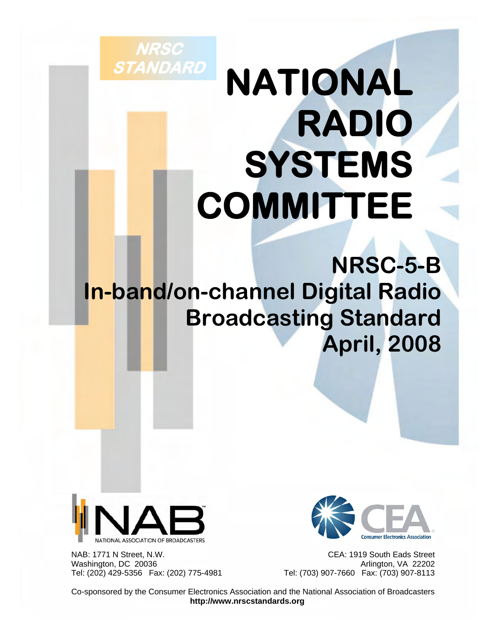# **NATIONAL RADIO SYSTEMS COMMITTEE STANDARD**

**NRSC-5-B In-band/on-channel Digital Radio Broadcasting Standard April, 2008**



**NRSC** 

 NAB: 1771 N Street, N.W. CEA: 1919 South Eads Street Washington, DC 20036<br>Tel: (202) 429-5356 Fax: (202) 775-4981 **Archard Tel: (703) 907-7660** Fax: (703) 907-8113



Tel: (703) 907-7660 Fax: (703) 907-8113

 Co-sponsored by the Consumer Electronics Association and the National Association of Broadcasters **http://www.nrscstandards.org**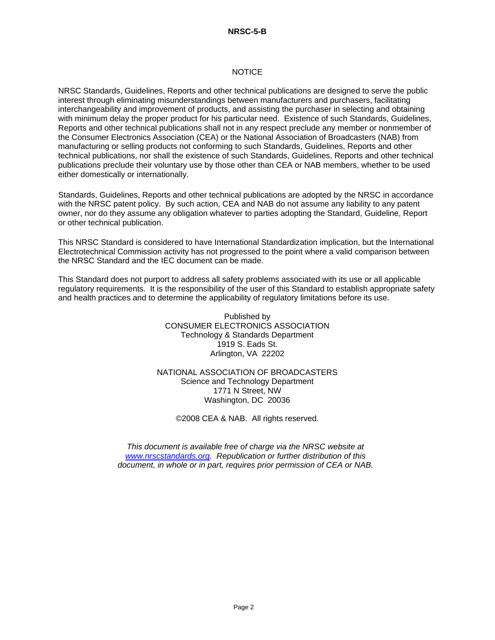#### **NOTICE**

NRSC Standards, Guidelines, Reports and other technical publications are designed to serve the public interest through eliminating misunderstandings between manufacturers and purchasers, facilitating interchangeability and improvement of products, and assisting the purchaser in selecting and obtaining with minimum delay the proper product for his particular need. Existence of such Standards, Guidelines, Reports and other technical publications shall not in any respect preclude any member or nonmember of the Consumer Electronics Association (CEA) or the National Association of Broadcasters (NAB) from manufacturing or selling products not conforming to such Standards, Guidelines, Reports and other technical publications, nor shall the existence of such Standards, Guidelines, Reports and other technical publications preclude their voluntary use by those other than CEA or NAB members, whether to be used either domestically or internationally.

Standards, Guidelines, Reports and other technical publications are adopted by the NRSC in accordance with the NRSC patent policy. By such action, CEA and NAB do not assume any liability to any patent owner, nor do they assume any obligation whatever to parties adopting the Standard, Guideline, Report or other technical publication.

This NRSC Standard is considered to have International Standardization implication, but the International Electrotechnical Commission activity has not progressed to the point where a valid comparison between the NRSC Standard and the IEC document can be made.

This Standard does not purport to address all safety problems associated with its use or all applicable regulatory requirements. It is the responsibility of the user of this Standard to establish appropriate safety and health practices and to determine the applicability of regulatory limitations before its use.

> Published by CONSUMER ELECTRONICS ASSOCIATION Technology & Standards Department 1919 S. Eads St. Arlington, VA 22202

NATIONAL ASSOCIATION OF BROADCASTERS Science and Technology Department 1771 N Street, NW Washington, DC 20036

©2008 CEA & NAB. All rights reserved.

*This document is available free of charge via the NRSC website at www.nrscstandards.org. Republication or further distribution of this document, in whole or in part, requires prior permission of CEA or NAB.*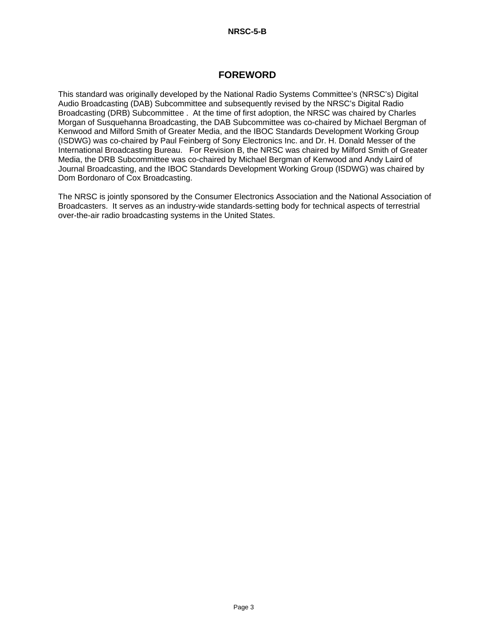# **FOREWORD**

This standard was originally developed by the National Radio Systems Committee's (NRSC's) Digital Audio Broadcasting (DAB) Subcommittee and subsequently revised by the NRSC's Digital Radio Broadcasting (DRB) Subcommittee . At the time of first adoption, the NRSC was chaired by Charles Morgan of Susquehanna Broadcasting, the DAB Subcommittee was co-chaired by Michael Bergman of Kenwood and Milford Smith of Greater Media, and the IBOC Standards Development Working Group (ISDWG) was co-chaired by Paul Feinberg of Sony Electronics Inc. and Dr. H. Donald Messer of the International Broadcasting Bureau. For Revision B, the NRSC was chaired by Milford Smith of Greater Media, the DRB Subcommittee was co-chaired by Michael Bergman of Kenwood and Andy Laird of Journal Broadcasting, and the IBOC Standards Development Working Group (ISDWG) was chaired by Dom Bordonaro of Cox Broadcasting.

The NRSC is jointly sponsored by the Consumer Electronics Association and the National Association of Broadcasters. It serves as an industry-wide standards-setting body for technical aspects of terrestrial over-the-air radio broadcasting systems in the United States.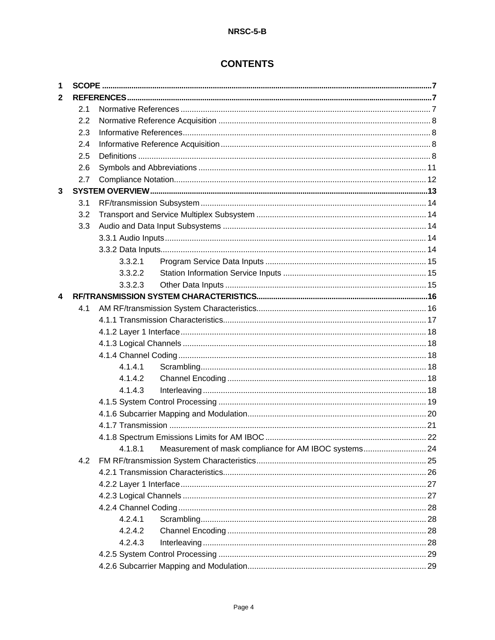# **CONTENTS**

| 1                |     |                                                                  |  |
|------------------|-----|------------------------------------------------------------------|--|
| 2                |     |                                                                  |  |
|                  | 2.1 |                                                                  |  |
|                  | 2.2 |                                                                  |  |
|                  | 2.3 |                                                                  |  |
|                  | 2.4 |                                                                  |  |
|                  | 2.5 |                                                                  |  |
|                  | 2.6 |                                                                  |  |
|                  | 2.7 |                                                                  |  |
| 3                |     |                                                                  |  |
|                  | 3.1 |                                                                  |  |
|                  | 3.2 |                                                                  |  |
|                  | 3.3 |                                                                  |  |
|                  |     |                                                                  |  |
|                  |     |                                                                  |  |
|                  |     | 3.3.2.1                                                          |  |
|                  |     | 3.3.2.2                                                          |  |
|                  |     | 3.3.2.3                                                          |  |
| $\boldsymbol{4}$ |     |                                                                  |  |
|                  | 4.1 |                                                                  |  |
|                  |     |                                                                  |  |
|                  |     |                                                                  |  |
|                  |     |                                                                  |  |
|                  |     |                                                                  |  |
|                  |     | 4.1.4.1                                                          |  |
|                  |     | 4.1.4.2                                                          |  |
|                  |     | 4.1.4.3                                                          |  |
|                  |     |                                                                  |  |
|                  |     |                                                                  |  |
|                  |     |                                                                  |  |
|                  |     |                                                                  |  |
|                  |     | 4.1.8.1<br>Measurement of mask compliance for AM IBOC systems 24 |  |
|                  | 4.2 |                                                                  |  |
|                  |     |                                                                  |  |
|                  |     |                                                                  |  |
|                  |     |                                                                  |  |
|                  |     |                                                                  |  |
|                  |     | 4.2.4.1                                                          |  |
|                  |     | 4.2.4.2                                                          |  |
|                  |     | 4.2.4.3                                                          |  |
|                  |     |                                                                  |  |
|                  |     |                                                                  |  |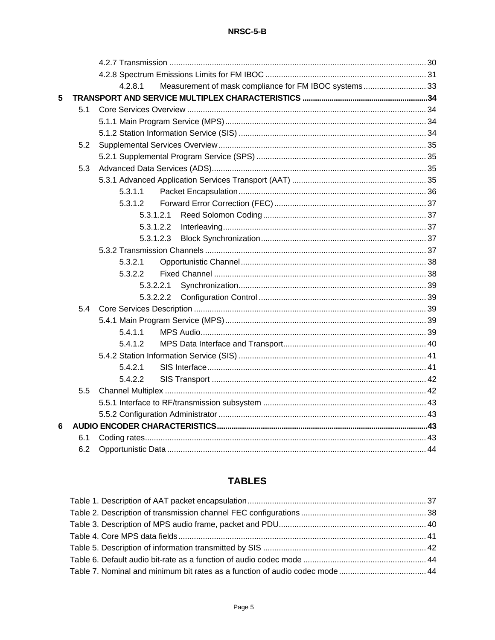|   |     | 4.2.8.1 |           | Measurement of mask compliance for FM IBOC systems 33 |  |
|---|-----|---------|-----------|-------------------------------------------------------|--|
| 5 |     |         |           |                                                       |  |
|   | 5.1 |         |           |                                                       |  |
|   |     |         |           |                                                       |  |
|   |     |         |           |                                                       |  |
|   | 5.2 |         |           |                                                       |  |
|   |     |         |           |                                                       |  |
|   | 5.3 |         |           |                                                       |  |
|   |     |         |           |                                                       |  |
|   |     | 5.3.1.1 |           |                                                       |  |
|   |     | 5.3.1.2 |           |                                                       |  |
|   |     |         | 5.3.1.2.1 |                                                       |  |
|   |     |         | 5.3.1.2.2 |                                                       |  |
|   |     |         | 5.3.1.2.3 |                                                       |  |
|   |     |         |           |                                                       |  |
|   |     | 5.3.2.1 |           |                                                       |  |
|   |     | 5.3.2.2 |           |                                                       |  |
|   |     |         | 5.3.2.2.1 |                                                       |  |
|   |     |         | 5.3.2.2.2 |                                                       |  |
|   | 5.4 |         |           |                                                       |  |
|   |     |         |           |                                                       |  |
|   |     | 5.4.1.1 |           |                                                       |  |
|   |     | 5.4.1.2 |           |                                                       |  |
|   |     |         |           |                                                       |  |
|   |     | 5.4.2.1 |           |                                                       |  |
|   |     | 5.4.2.2 |           |                                                       |  |
|   | 5.5 |         |           |                                                       |  |
|   |     |         |           |                                                       |  |
|   |     |         |           |                                                       |  |
| 6 |     |         |           |                                                       |  |
|   | 6.1 |         |           |                                                       |  |
|   | 6.2 |         |           |                                                       |  |

# **TABLES**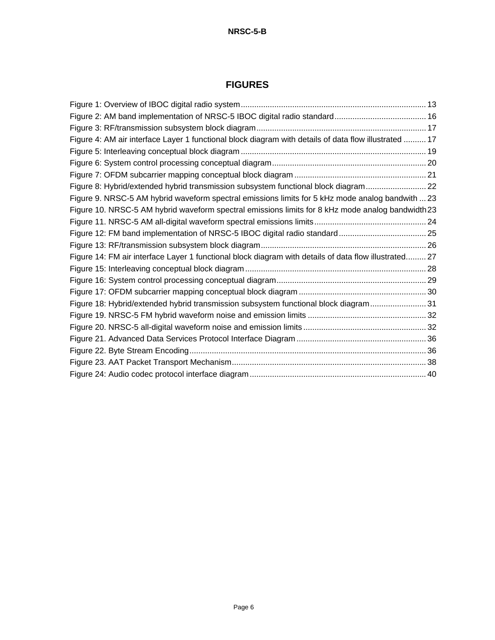# **FIGURES**

| Figure 4: AM air interface Layer 1 functional block diagram with details of data flow illustrated  17 |  |
|-------------------------------------------------------------------------------------------------------|--|
|                                                                                                       |  |
|                                                                                                       |  |
|                                                                                                       |  |
| Figure 8: Hybrid/extended hybrid transmission subsystem functional block diagram 22                   |  |
| Figure 9. NRSC-5 AM hybrid waveform spectral emissions limits for 5 kHz mode analog bandwith  23      |  |
| Figure 10. NRSC-5 AM hybrid waveform spectral emissions limits for 8 kHz mode analog bandwidth 23     |  |
|                                                                                                       |  |
|                                                                                                       |  |
|                                                                                                       |  |
| Figure 14: FM air interface Layer 1 functional block diagram with details of data flow illustrated 27 |  |
|                                                                                                       |  |
|                                                                                                       |  |
|                                                                                                       |  |
| Figure 18: Hybrid/extended hybrid transmission subsystem functional block diagram 31                  |  |
|                                                                                                       |  |
|                                                                                                       |  |
|                                                                                                       |  |
|                                                                                                       |  |
|                                                                                                       |  |
|                                                                                                       |  |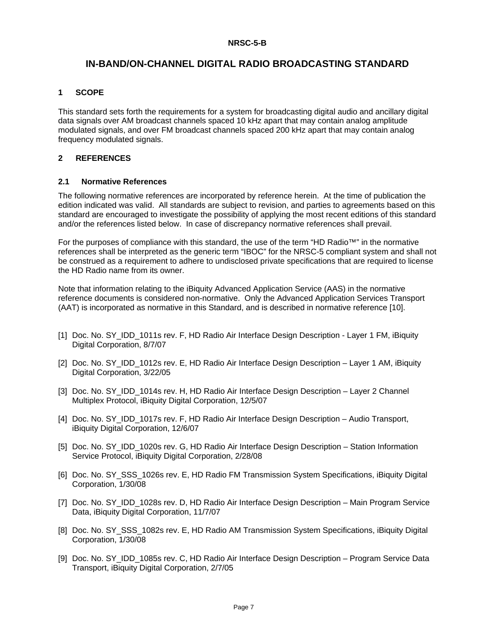# **IN-BAND/ON-CHANNEL DIGITAL RADIO BROADCASTING STANDARD**

# **1 SCOPE**

This standard sets forth the requirements for a system for broadcasting digital audio and ancillary digital data signals over AM broadcast channels spaced 10 kHz apart that may contain analog amplitude modulated signals, and over FM broadcast channels spaced 200 kHz apart that may contain analog frequency modulated signals.

# **2 REFERENCES**

# **2.1 Normative References**

The following normative references are incorporated by reference herein. At the time of publication the edition indicated was valid. All standards are subject to revision, and parties to agreements based on this standard are encouraged to investigate the possibility of applying the most recent editions of this standard and/or the references listed below. In case of discrepancy normative references shall prevail.

For the purposes of compliance with this standard, the use of the term "HD Radio™" in the normative references shall be interpreted as the generic term "IBOC" for the NRSC-5 compliant system and shall not be construed as a requirement to adhere to undisclosed private specifications that are required to license the HD Radio name from its owner.

Note that information relating to the iBiquity Advanced Application Service (AAS) in the normative reference documents is considered non-normative. Only the Advanced Application Services Transport (AAT) is incorporated as normative in this Standard, and is described in normative reference [10].

- [1] Doc. No. SY\_IDD\_1011s rev. F, HD Radio Air Interface Design Description Layer 1 FM, iBiquity Digital Corporation, 8/7/07
- [2] Doc. No. SY\_IDD\_1012s rev. E, HD Radio Air Interface Design Description Layer 1 AM, iBiquity Digital Corporation, 3/22/05
- [3] Doc. No. SY\_IDD\_1014s rev. H, HD Radio Air Interface Design Description Layer 2 Channel Multiplex Protocol, iBiquity Digital Corporation, 12/5/07
- [4] Doc. No. SY\_IDD\_1017s rev. F, HD Radio Air Interface Design Description Audio Transport, iBiquity Digital Corporation, 12/6/07
- [5] Doc. No. SY\_IDD\_1020s rev. G, HD Radio Air Interface Design Description Station Information Service Protocol, iBiquity Digital Corporation, 2/28/08
- [6] Doc. No. SY\_SSS\_1026s rev. E, HD Radio FM Transmission System Specifications, iBiquity Digital Corporation, 1/30/08
- [7] Doc. No. SY\_IDD\_1028s rev. D, HD Radio Air Interface Design Description Main Program Service Data, iBiquity Digital Corporation, 11/7/07
- [8] Doc. No. SY\_SSS\_1082s rev. E, HD Radio AM Transmission System Specifications, iBiquity Digital Corporation, 1/30/08
- [9] Doc. No. SY\_IDD\_1085s rev. C, HD Radio Air Interface Design Description Program Service Data Transport, iBiquity Digital Corporation, 2/7/05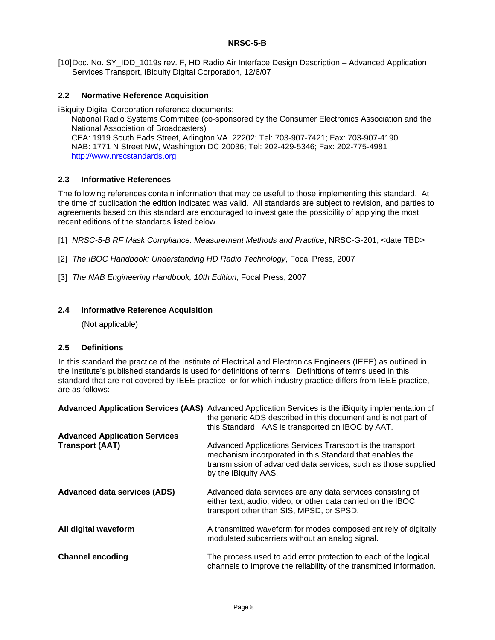[10] Doc. No. SY\_IDD\_1019s rev. F, HD Radio Air Interface Design Description – Advanced Application Services Transport, iBiquity Digital Corporation, 12/6/07

# **2.2 Normative Reference Acquisition**

iBiquity Digital Corporation reference documents:

National Radio Systems Committee (co-sponsored by the Consumer Electronics Association and the National Association of Broadcasters) CEA: 1919 South Eads Street, Arlington VA 22202; Tel: 703-907-7421; Fax: 703-907-4190 NAB: 1771 N Street NW, Washington DC 20036; Tel: 202-429-5346; Fax: 202-775-4981 http://www.nrscstandards.org

# **2.3 Informative References**

The following references contain information that may be useful to those implementing this standard. At the time of publication the edition indicated was valid. All standards are subject to revision, and parties to agreements based on this standard are encouraged to investigate the possibility of applying the most recent editions of the standards listed below.

[1] *NRSC-5-B RF Mask Compliance: Measurement Methods and Practice*, NRSC-G-201, <date TBD>

- [2] *The IBOC Handbook: Understanding HD Radio Technology*, Focal Press, 2007
- [3] *The NAB Engineering Handbook, 10th Edition*, Focal Press, 2007

# **2.4 Informative Reference Acquisition**

(Not applicable)

#### **2.5 Definitions**

In this standard the practice of the Institute of Electrical and Electronics Engineers (IEEE) as outlined in the Institute's published standards is used for definitions of terms. Definitions of terms used in this standard that are not covered by IEEE practice, or for which industry practice differs from IEEE practice, are as follows:

|                                      | Advanced Application Services (AAS) Advanced Application Services is the iBiquity implementation of<br>the generic ADS described in this document and is not part of<br>this Standard. AAS is transported on IBOC by AAT. |
|--------------------------------------|---------------------------------------------------------------------------------------------------------------------------------------------------------------------------------------------------------------------------|
| <b>Advanced Application Services</b> |                                                                                                                                                                                                                           |
| <b>Transport (AAT)</b>               | Advanced Applications Services Transport is the transport<br>mechanism incorporated in this Standard that enables the<br>transmission of advanced data services, such as those supplied<br>by the iBiguity AAS.           |
| <b>Advanced data services (ADS)</b>  | Advanced data services are any data services consisting of<br>either text, audio, video, or other data carried on the IBOC<br>transport other than SIS, MPSD, or SPSD.                                                    |
| All digital waveform                 | A transmitted waveform for modes composed entirely of digitally<br>modulated subcarriers without an analog signal.                                                                                                        |
| <b>Channel encoding</b>              | The process used to add error protection to each of the logical<br>channels to improve the reliability of the transmitted information.                                                                                    |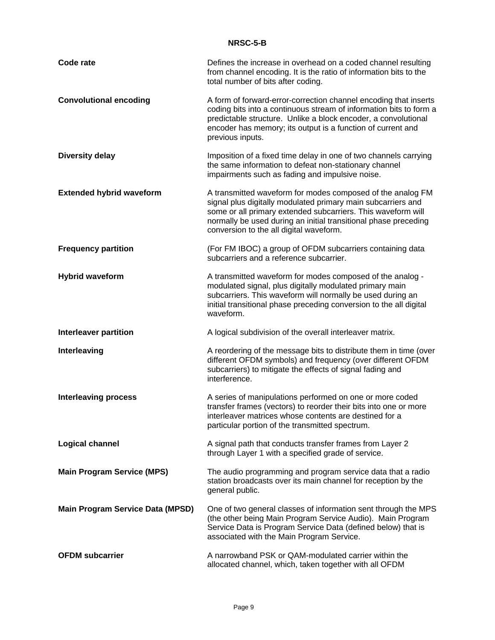| <b>Code rate</b>                        | Defines the increase in overhead on a coded channel resulting<br>from channel encoding. It is the ratio of information bits to the<br>total number of bits after coding.                                                                                                                                 |
|-----------------------------------------|----------------------------------------------------------------------------------------------------------------------------------------------------------------------------------------------------------------------------------------------------------------------------------------------------------|
| <b>Convolutional encoding</b>           | A form of forward-error-correction channel encoding that inserts<br>coding bits into a continuous stream of information bits to form a<br>predictable structure. Unlike a block encoder, a convolutional<br>encoder has memory; its output is a function of current and<br>previous inputs.              |
| <b>Diversity delay</b>                  | Imposition of a fixed time delay in one of two channels carrying<br>the same information to defeat non-stationary channel<br>impairments such as fading and impulsive noise.                                                                                                                             |
| <b>Extended hybrid waveform</b>         | A transmitted waveform for modes composed of the analog FM<br>signal plus digitally modulated primary main subcarriers and<br>some or all primary extended subcarriers. This waveform will<br>normally be used during an initial transitional phase preceding<br>conversion to the all digital waveform. |
| <b>Frequency partition</b>              | (For FM IBOC) a group of OFDM subcarriers containing data<br>subcarriers and a reference subcarrier.                                                                                                                                                                                                     |
| <b>Hybrid waveform</b>                  | A transmitted waveform for modes composed of the analog -<br>modulated signal, plus digitally modulated primary main<br>subcarriers. This waveform will normally be used during an<br>initial transitional phase preceding conversion to the all digital<br>waveform.                                    |
| <b>Interleaver partition</b>            | A logical subdivision of the overall interleaver matrix.                                                                                                                                                                                                                                                 |
| Interleaving                            | A reordering of the message bits to distribute them in time (over<br>different OFDM symbols) and frequency (over different OFDM<br>subcarriers) to mitigate the effects of signal fading and<br>interference.                                                                                            |
| <b>Interleaving process</b>             | A series of manipulations performed on one or more coded<br>transfer frames (vectors) to reorder their bits into one or more<br>interleaver matrices whose contents are destined for a<br>particular portion of the transmitted spectrum.                                                                |
| Logical channel                         | A signal path that conducts transfer frames from Layer 2<br>through Layer 1 with a specified grade of service.                                                                                                                                                                                           |
| <b>Main Program Service (MPS)</b>       | The audio programming and program service data that a radio<br>station broadcasts over its main channel for reception by the<br>general public.                                                                                                                                                          |
| <b>Main Program Service Data (MPSD)</b> | One of two general classes of information sent through the MPS<br>(the other being Main Program Service Audio). Main Program<br>Service Data is Program Service Data (defined below) that is<br>associated with the Main Program Service.                                                                |
| <b>OFDM subcarrier</b>                  | A narrowband PSK or QAM-modulated carrier within the<br>allocated channel, which, taken together with all OFDM                                                                                                                                                                                           |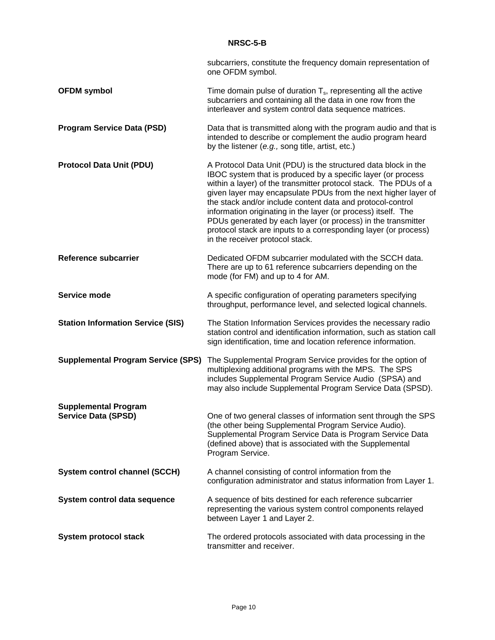|                                                           | subcarriers, constitute the frequency domain representation of<br>one OFDM symbol.                                                                                                                                                                                                                                                                                                                                                                                                                                                                                        |
|-----------------------------------------------------------|---------------------------------------------------------------------------------------------------------------------------------------------------------------------------------------------------------------------------------------------------------------------------------------------------------------------------------------------------------------------------------------------------------------------------------------------------------------------------------------------------------------------------------------------------------------------------|
| <b>OFDM</b> symbol                                        | Time domain pulse of duration $T_s$ , representing all the active<br>subcarriers and containing all the data in one row from the<br>interleaver and system control data sequence matrices.                                                                                                                                                                                                                                                                                                                                                                                |
| <b>Program Service Data (PSD)</b>                         | Data that is transmitted along with the program audio and that is<br>intended to describe or complement the audio program heard<br>by the listener (e.g., song title, artist, etc.)                                                                                                                                                                                                                                                                                                                                                                                       |
| <b>Protocol Data Unit (PDU)</b>                           | A Protocol Data Unit (PDU) is the structured data block in the<br>IBOC system that is produced by a specific layer (or process<br>within a layer) of the transmitter protocol stack. The PDUs of a<br>given layer may encapsulate PDUs from the next higher layer of<br>the stack and/or include content data and protocol-control<br>information originating in the layer (or process) itself. The<br>PDUs generated by each layer (or process) in the transmitter<br>protocol stack are inputs to a corresponding layer (or process)<br>in the receiver protocol stack. |
| <b>Reference subcarrier</b>                               | Dedicated OFDM subcarrier modulated with the SCCH data.<br>There are up to 61 reference subcarriers depending on the<br>mode (for FM) and up to 4 for AM.                                                                                                                                                                                                                                                                                                                                                                                                                 |
| Service mode                                              | A specific configuration of operating parameters specifying<br>throughput, performance level, and selected logical channels.                                                                                                                                                                                                                                                                                                                                                                                                                                              |
| <b>Station Information Service (SIS)</b>                  | The Station Information Services provides the necessary radio<br>station control and identification information, such as station call<br>sign identification, time and location reference information.                                                                                                                                                                                                                                                                                                                                                                    |
| <b>Supplemental Program Service (SPS)</b>                 | The Supplemental Program Service provides for the option of<br>multiplexing additional programs with the MPS. The SPS<br>includes Supplemental Program Service Audio (SPSA) and<br>may also include Supplemental Program Service Data (SPSD).                                                                                                                                                                                                                                                                                                                             |
| <b>Supplemental Program</b><br><b>Service Data (SPSD)</b> | One of two general classes of information sent through the SPS<br>(the other being Supplemental Program Service Audio).<br>Supplemental Program Service Data is Program Service Data<br>(defined above) that is associated with the Supplemental<br>Program Service.                                                                                                                                                                                                                                                                                                      |
| <b>System control channel (SCCH)</b>                      | A channel consisting of control information from the<br>configuration administrator and status information from Layer 1.                                                                                                                                                                                                                                                                                                                                                                                                                                                  |
| System control data sequence                              | A sequence of bits destined for each reference subcarrier<br>representing the various system control components relayed<br>between Layer 1 and Layer 2.                                                                                                                                                                                                                                                                                                                                                                                                                   |
| System protocol stack                                     | The ordered protocols associated with data processing in the<br>transmitter and receiver.                                                                                                                                                                                                                                                                                                                                                                                                                                                                                 |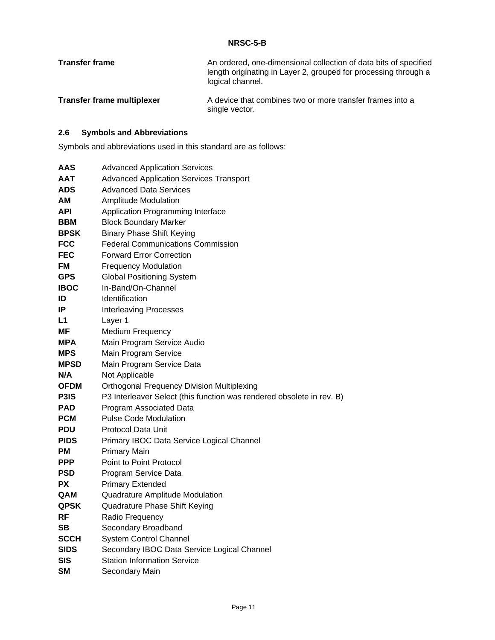| <b>Transfer frame</b>             | An ordered, one-dimensional collection of data bits of specified<br>length originating in Layer 2, grouped for processing through a<br>logical channel. |
|-----------------------------------|---------------------------------------------------------------------------------------------------------------------------------------------------------|
| <b>Transfer frame multiplexer</b> | A device that combines two or more transfer frames into a<br>single vector.                                                                             |

# **2.6 Symbols and Abbreviations**

Symbols and abbreviations used in this standard are as follows:

| AAS         | <b>Advanced Application Services</b>                                  |  |  |
|-------------|-----------------------------------------------------------------------|--|--|
| <b>AAT</b>  | <b>Advanced Application Services Transport</b>                        |  |  |
| <b>ADS</b>  | <b>Advanced Data Services</b>                                         |  |  |
| ΑМ          | <b>Amplitude Modulation</b>                                           |  |  |
| API         | Application Programming Interface                                     |  |  |
| <b>BBM</b>  | <b>Block Boundary Marker</b>                                          |  |  |
| <b>BPSK</b> | <b>Binary Phase Shift Keying</b>                                      |  |  |
| <b>FCC</b>  | <b>Federal Communications Commission</b>                              |  |  |
| <b>FEC</b>  | <b>Forward Error Correction</b>                                       |  |  |
| FM          | <b>Frequency Modulation</b>                                           |  |  |
| <b>GPS</b>  | <b>Global Positioning System</b>                                      |  |  |
| <b>IBOC</b> | In-Band/On-Channel                                                    |  |  |
| ID          | Identification                                                        |  |  |
| IP          | <b>Interleaving Processes</b>                                         |  |  |
| L1          | Layer 1                                                               |  |  |
| ΜF          | Medium Frequency                                                      |  |  |
| <b>MPA</b>  | Main Program Service Audio                                            |  |  |
| <b>MPS</b>  | Main Program Service                                                  |  |  |
| <b>MPSD</b> | Main Program Service Data                                             |  |  |
| N/A         | Not Applicable                                                        |  |  |
| <b>OFDM</b> | <b>Orthogonal Frequency Division Multiplexing</b>                     |  |  |
| P3IS        | P3 Interleaver Select (this function was rendered obsolete in rev. B) |  |  |
| <b>PAD</b>  | Program Associated Data                                               |  |  |
| <b>PCM</b>  | <b>Pulse Code Modulation</b>                                          |  |  |
| <b>PDU</b>  | <b>Protocol Data Unit</b>                                             |  |  |
| <b>PIDS</b> | Primary IBOC Data Service Logical Channel                             |  |  |
| PМ          | Primary Main                                                          |  |  |
| <b>PPP</b>  | Point to Point Protocol                                               |  |  |
| <b>PSD</b>  | Program Service Data                                                  |  |  |
| PХ          | <b>Primary Extended</b>                                               |  |  |
| QAM         | Quadrature Amplitude Modulation                                       |  |  |
| <b>QPSK</b> | Quadrature Phase Shift Keying                                         |  |  |
| RF          | Radio Frequency                                                       |  |  |
| SВ          | Secondary Broadband                                                   |  |  |
| <b>SCCH</b> | <b>System Control Channel</b>                                         |  |  |
| <b>SIDS</b> | Secondary IBOC Data Service Logical Channel                           |  |  |
| <b>SIS</b>  | <b>Station Information Service</b>                                    |  |  |
| SΜ          | Secondary Main                                                        |  |  |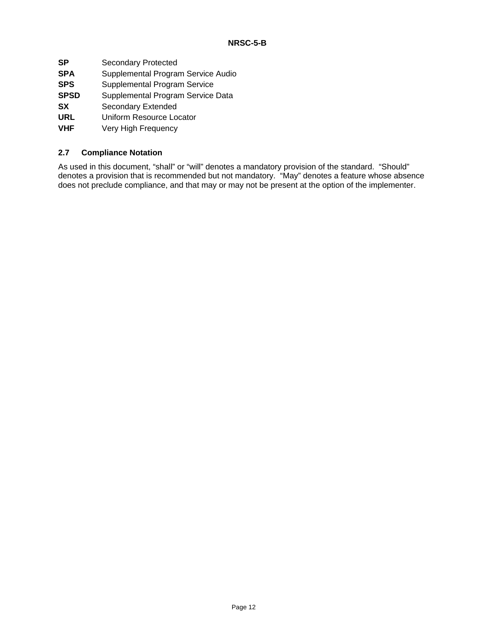- **SP** Secondary Protected
- **SPA** Supplemental Program Service Audio
- **SPS** Supplemental Program Service
- **SPSD** Supplemental Program Service Data
- **SX** Secondary Extended
- **URL** Uniform Resource Locator
- **VHF** Very High Frequency

# **2.7 Compliance Notation**

As used in this document, "shall" or "will" denotes a mandatory provision of the standard. "Should" denotes a provision that is recommended but not mandatory. "May" denotes a feature whose absence does not preclude compliance, and that may or may not be present at the option of the implementer.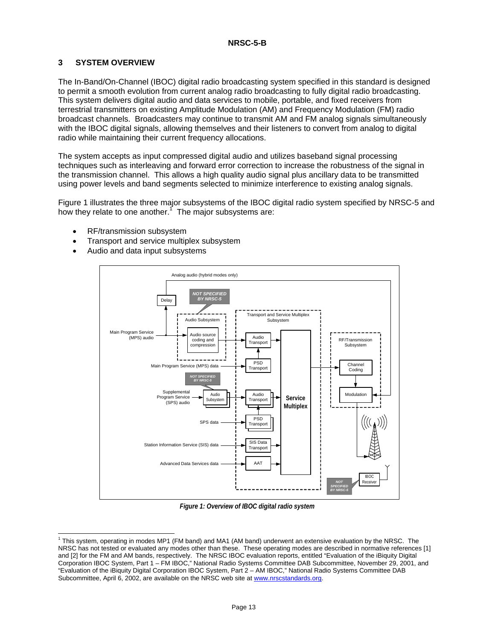# **3 SYSTEM OVERVIEW**

The In-Band/On-Channel (IBOC) digital radio broadcasting system specified in this standard is designed to permit a smooth evolution from current analog radio broadcasting to fully digital radio broadcasting. This system delivers digital audio and data services to mobile, portable, and fixed receivers from terrestrial transmitters on existing Amplitude Modulation (AM) and Frequency Modulation (FM) radio broadcast channels. Broadcasters may continue to transmit AM and FM analog signals simultaneously with the IBOC digital signals, allowing themselves and their listeners to convert from analog to digital radio while maintaining their current frequency allocations.

The system accepts as input compressed digital audio and utilizes baseband signal processing techniques such as interleaving and forward error correction to increase the robustness of the signal in the transmission channel. This allows a high quality audio signal plus ancillary data to be transmitted using power levels and band segments selected to minimize interference to existing analog signals.

Figure 1 illustrates the three major subsystems of the IBOC digital radio system specified by NRSC-5 and how they relate to one another.<sup>1</sup> The major subsystems are:

- RF/transmission subsystem
- Transport and service multiplex subsystem
- Audio and data input subsystems



*Figure 1: Overview of IBOC digital radio system* 

 1 This system, operating in modes MP1 (FM band) and MA1 (AM band) underwent an extensive evaluation by the NRSC. The NRSC has not tested or evaluated any modes other than these. These operating modes are described in normative references [1] and [2] for the FM and AM bands, respectively. The NRSC IBOC evaluation reports, entitled "Evaluation of the iBiquity Digital Corporation IBOC System, Part 1 – FM IBOC," National Radio Systems Committee DAB Subcommittee, November 29, 2001, and "Evaluation of the iBiquity Digital Corporation IBOC System, Part 2 – AM IBOC," National Radio Systems Committee DAB Subcommittee, April 6, 2002, are available on the NRSC web site at www.nrscstandards.org.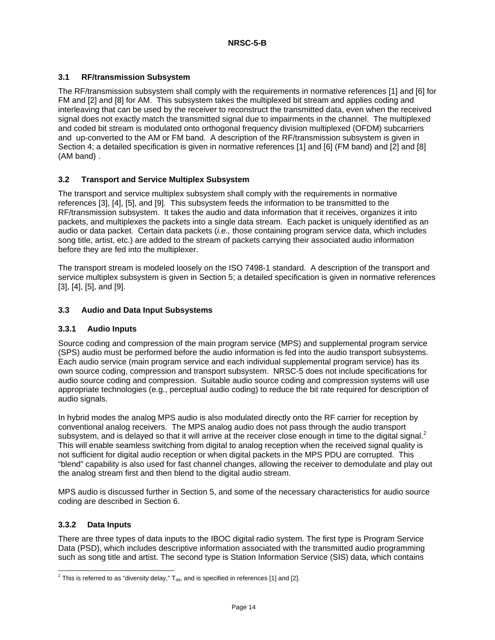# **3.1 RF/transmission Subsystem**

The RF/transmission subsystem shall comply with the requirements in normative references [1] and [6] for FM and [2] and [8] for AM. This subsystem takes the multiplexed bit stream and applies coding and interleaving that can be used by the receiver to reconstruct the transmitted data, even when the received signal does not exactly match the transmitted signal due to impairments in the channel. The multiplexed and coded bit stream is modulated onto orthogonal frequency division multiplexed (OFDM) subcarriers and up-converted to the AM or FM band. A description of the RF/transmission subsystem is given in Section 4; a detailed specification is given in normative references [1] and [6] (FM band) and [2] and [8] (AM band) .

# **3.2 Transport and Service Multiplex Subsystem**

The transport and service multiplex subsystem shall comply with the requirements in normative references [3], [4], [5], and [9]. This subsystem feeds the information to be transmitted to the RF/transmission subsystem. It takes the audio and data information that it receives, organizes it into packets, and multiplexes the packets into a single data stream. Each packet is uniquely identified as an audio or data packet. Certain data packets (*i.e.,* those containing program service data, which includes song title, artist, etc.) are added to the stream of packets carrying their associated audio information before they are fed into the multiplexer.

The transport stream is modeled loosely on the ISO 7498-1 standard. A description of the transport and service multiplex subsystem is given in Section 5; a detailed specification is given in normative references [3], [4], [5], and [9].

# **3.3 Audio and Data Input Subsystems**

# **3.3.1 Audio Inputs**

Source coding and compression of the main program service (MPS) and supplemental program service (SPS) audio must be performed before the audio information is fed into the audio transport subsystems. Each audio service (main program service and each individual supplemental program service) has its own source coding, compression and transport subsystem. NRSC-5 does not include specifications for audio source coding and compression. Suitable audio source coding and compression systems will use appropriate technologies (e.g., perceptual audio coding) to reduce the bit rate required for description of audio signals.

In hybrid modes the analog MPS audio is also modulated directly onto the RF carrier for reception by conventional analog receivers. The MPS analog audio does not pass through the audio transport subsystem, and is delayed so that it will arrive at the receiver close enough in time to the digital signal.<sup>2</sup> This will enable seamless switching from digital to analog reception when the received signal quality is not sufficient for digital audio reception or when digital packets in the MPS PDU are corrupted. This "blend" capability is also used for fast channel changes, allowing the receiver to demodulate and play out the analog stream first and then blend to the digital audio stream.

MPS audio is discussed further in Section 5, and some of the necessary characteristics for audio source coding are described in Section 6.

# **3.3.2 Data Inputs**

There are three types of data inputs to the IBOC digital radio system. The first type is Program Service Data (PSD), which includes descriptive information associated with the transmitted audio programming such as song title and artist. The second type is Station Information Service (SIS) data, which contains

 $\frac{1}{2}$ This is referred to as "diversity delay," T<sub>dd</sub>, and is specified in references [1] and [2].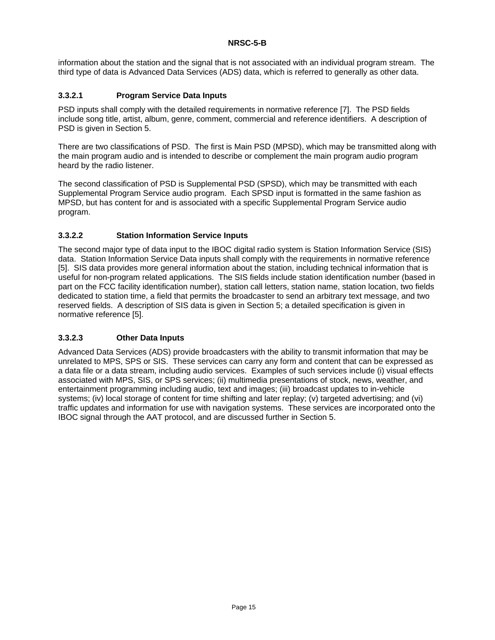information about the station and the signal that is not associated with an individual program stream. The third type of data is Advanced Data Services (ADS) data, which is referred to generally as other data.

# **3.3.2.1 Program Service Data Inputs**

PSD inputs shall comply with the detailed requirements in normative reference [7]. The PSD fields include song title, artist, album, genre, comment, commercial and reference identifiers. A description of PSD is given in Section 5.

There are two classifications of PSD. The first is Main PSD (MPSD), which may be transmitted along with the main program audio and is intended to describe or complement the main program audio program heard by the radio listener.

The second classification of PSD is Supplemental PSD (SPSD), which may be transmitted with each Supplemental Program Service audio program. Each SPSD input is formatted in the same fashion as MPSD, but has content for and is associated with a specific Supplemental Program Service audio program.

# **3.3.2.2 Station Information Service Inputs**

The second major type of data input to the IBOC digital radio system is Station Information Service (SIS) data. Station Information Service Data inputs shall comply with the requirements in normative reference [5]. SIS data provides more general information about the station, including technical information that is useful for non-program related applications. The SIS fields include station identification number (based in part on the FCC facility identification number), station call letters, station name, station location, two fields dedicated to station time, a field that permits the broadcaster to send an arbitrary text message, and two reserved fields. A description of SIS data is given in Section 5; a detailed specification is given in normative reference [5].

# **3.3.2.3 Other Data Inputs**

Advanced Data Services (ADS) provide broadcasters with the ability to transmit information that may be unrelated to MPS, SPS or SIS. These services can carry any form and content that can be expressed as a data file or a data stream, including audio services. Examples of such services include (i) visual effects associated with MPS, SIS, or SPS services; (ii) multimedia presentations of stock, news, weather, and entertainment programming including audio, text and images; (iii) broadcast updates to in-vehicle systems; (iv) local storage of content for time shifting and later replay; (v) targeted advertising; and (vi) traffic updates and information for use with navigation systems. These services are incorporated onto the IBOC signal through the AAT protocol, and are discussed further in Section 5.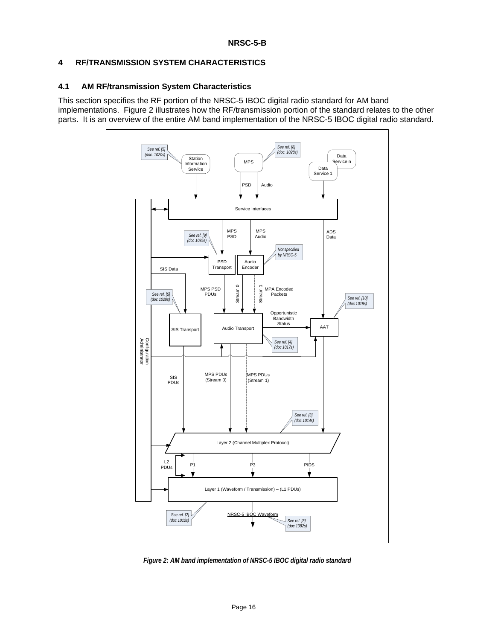# **4 RF/TRANSMISSION SYSTEM CHARACTERISTICS**

# **4.1 AM RF/transmission System Characteristics**

This section specifies the RF portion of the NRSC-5 IBOC digital radio standard for AM band implementations. Figure 2 illustrates how the RF/transmission portion of the standard relates to the other parts. It is an overview of the entire AM band implementation of the NRSC-5 IBOC digital radio standard.



*Figure 2: AM band implementation of NRSC-5 IBOC digital radio standard*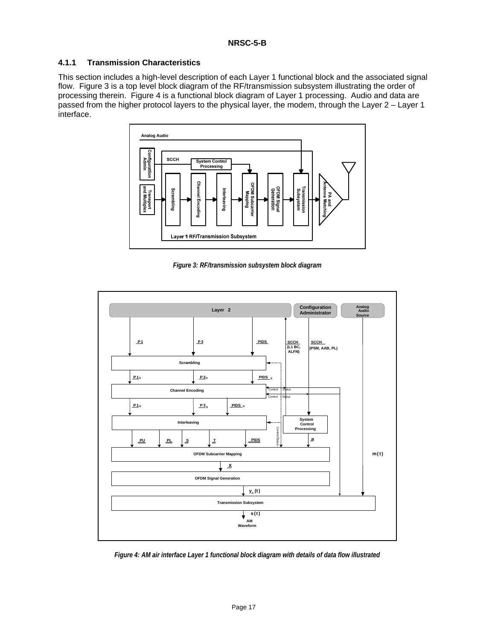# **4.1.1 Transmission Characteristics**

This section includes a high-level description of each Layer 1 functional block and the associated signal flow. Figure 3 is a top level block diagram of the RF/transmission subsystem illustrating the order of processing therein. Figure 4 is a functional block diagram of Layer 1 processing. Audio and data are passed from the higher protocol layers to the physical layer, the modem, through the Layer 2 – Layer 1 interface.



*Figure 3: RF/transmission subsystem block diagram* 



*Figure 4: AM air interface Layer 1 functional block diagram with details of data flow illustrated*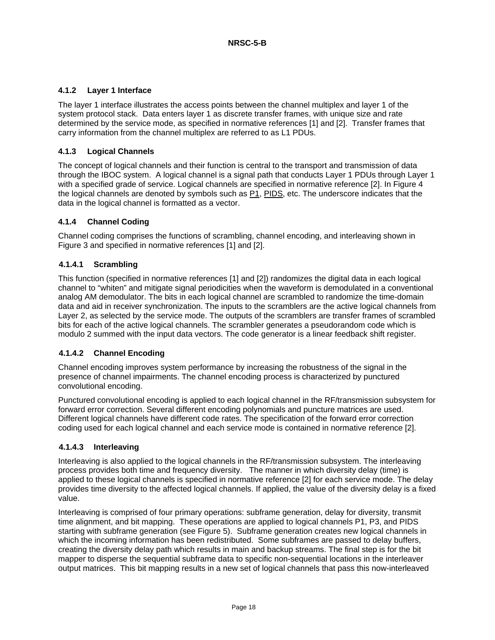# **4.1.2 Layer 1 Interface**

The layer 1 interface illustrates the access points between the channel multiplex and layer 1 of the system protocol stack. Data enters layer 1 as discrete transfer frames, with unique size and rate determined by the service mode, as specified in normative references [1] and [2]. Transfer frames that carry information from the channel multiplex are referred to as L1 PDUs.

# **4.1.3 Logical Channels**

The concept of logical channels and their function is central to the transport and transmission of data through the IBOC system. A logical channel is a signal path that conducts Layer 1 PDUs through Layer 1 with a specified grade of service. Logical channels are specified in normative reference [2]. In Figure 4 the logical channels are denoted by symbols such as P1, PIDS, etc. The underscore indicates that the data in the logical channel is formatted as a vector.

# **4.1.4 Channel Coding**

Channel coding comprises the functions of scrambling, channel encoding, and interleaving shown in Figure 3 and specified in normative references [1] and [2].

# **4.1.4.1 Scrambling**

This function (specified in normative references [1] and [2]) randomizes the digital data in each logical channel to "whiten" and mitigate signal periodicities when the waveform is demodulated in a conventional analog AM demodulator. The bits in each logical channel are scrambled to randomize the time-domain data and aid in receiver synchronization. The inputs to the scramblers are the active logical channels from Layer 2, as selected by the service mode. The outputs of the scramblers are transfer frames of scrambled bits for each of the active logical channels. The scrambler generates a pseudorandom code which is modulo 2 summed with the input data vectors. The code generator is a linear feedback shift register.

# **4.1.4.2 Channel Encoding**

Channel encoding improves system performance by increasing the robustness of the signal in the presence of channel impairments. The channel encoding process is characterized by punctured convolutional encoding.

Punctured convolutional encoding is applied to each logical channel in the RF/transmission subsystem for forward error correction. Several different encoding polynomials and puncture matrices are used. Different logical channels have different code rates. The specification of the forward error correction coding used for each logical channel and each service mode is contained in normative reference [2].

# **4.1.4.3 Interleaving**

Interleaving is also applied to the logical channels in the RF/transmission subsystem. The interleaving process provides both time and frequency diversity. The manner in which diversity delay (time) is applied to these logical channels is specified in normative reference [2] for each service mode. The delay provides time diversity to the affected logical channels. If applied, the value of the diversity delay is a fixed value.

Interleaving is comprised of four primary operations: subframe generation, delay for diversity, transmit time alignment, and bit mapping. These operations are applied to logical channels P1, P3, and PIDS starting with subframe generation (see Figure 5). Subframe generation creates new logical channels in which the incoming information has been redistributed. Some subframes are passed to delay buffers, creating the diversity delay path which results in main and backup streams. The final step is for the bit mapper to disperse the sequential subframe data to specific non-sequential locations in the interleaver output matrices. This bit mapping results in a new set of logical channels that pass this now-interleaved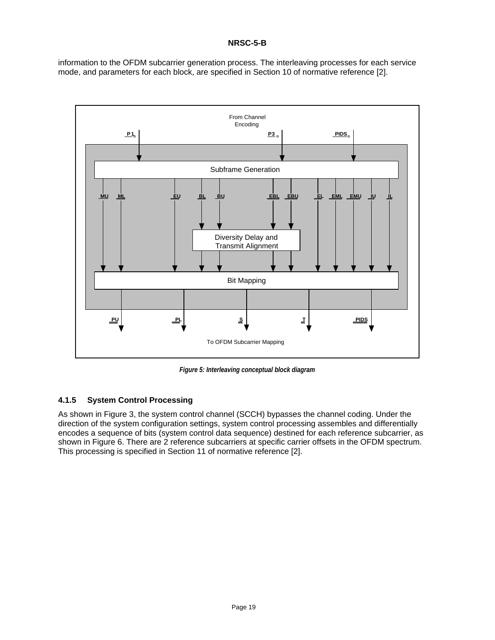information to the OFDM subcarrier generation process. The interleaving processes for each service mode, and parameters for each block, are specified in Section 10 of normative reference [2].



*Figure 5: Interleaving conceptual block diagram* 

# **4.1.5 System Control Processing**

As shown in Figure 3, the system control channel (SCCH) bypasses the channel coding. Under the direction of the system configuration settings, system control processing assembles and differentially encodes a sequence of bits (system control data sequence) destined for each reference subcarrier, as shown in Figure 6. There are 2 reference subcarriers at specific carrier offsets in the OFDM spectrum. This processing is specified in Section 11 of normative reference [2].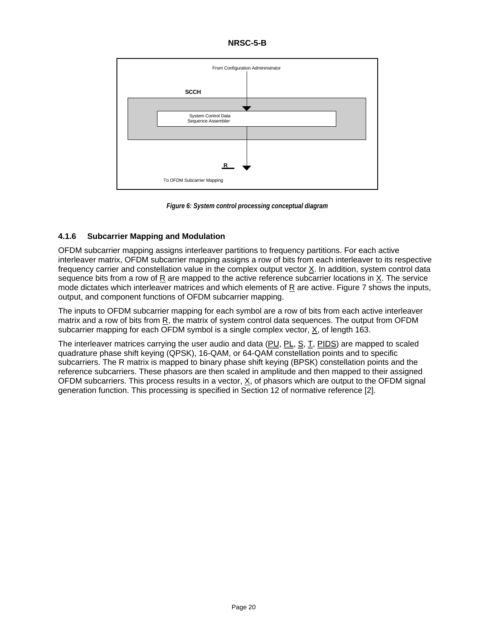**NRSC-5-B** 



*Figure 6: System control processing conceptual diagram* 

# **4.1.6 Subcarrier Mapping and Modulation**

OFDM subcarrier mapping assigns interleaver partitions to frequency partitions. For each active interleaver matrix, OFDM subcarrier mapping assigns a row of bits from each interleaver to its respective frequency carrier and constellation value in the complex output vector X. In addition, system control data sequence bits from a row of R are mapped to the active reference subcarrier locations in X. The service mode dictates which interleaver matrices and which elements of R are active. Figure 7 shows the inputs, output, and component functions of OFDM subcarrier mapping.

The inputs to OFDM subcarrier mapping for each symbol are a row of bits from each active interleaver matrix and a row of bits from  $R$ , the matrix of system control data sequences. The output from OFDM subcarrier mapping for each OFDM symbol is a single complex vector, X, of length 163.

The interleaver matrices carrying the user audio and data (PU, PL, S, T, PIDS) are mapped to scaled quadrature phase shift keying (QPSK), 16-QAM, or 64-QAM constellation points and to specific subcarriers. The R matrix is mapped to binary phase shift keying (BPSK) constellation points and the reference subcarriers. These phasors are then scaled in amplitude and then mapped to their assigned OFDM subcarriers. This process results in a vector,  $X$ , of phasors which are output to the OFDM signal generation function. This processing is specified in Section 12 of normative reference [2].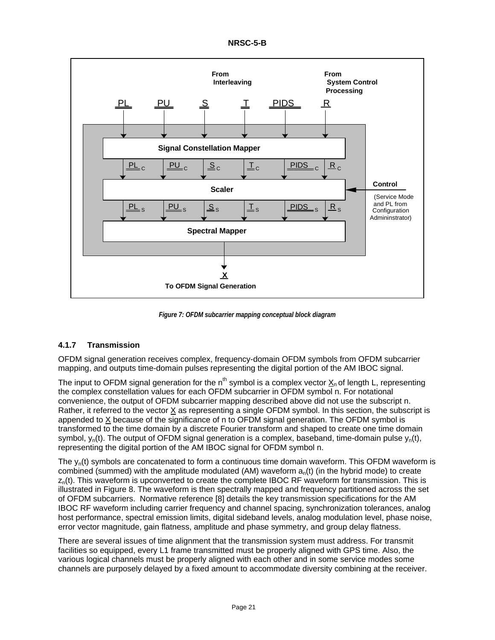



*Figure 7: OFDM subcarrier mapping conceptual block diagram* 

# **4.1.7 Transmission**

OFDM signal generation receives complex, frequency-domain OFDM symbols from OFDM subcarrier mapping, and outputs time-domain pulses representing the digital portion of the AM IBOC signal.

The input to OFDM signal generation for the n<sup>th</sup> symbol is a complex vector  $X_n$  of length L, representing the complex constellation values for each OFDM subcarrier in OFDM symbol n. For notational convenience, the output of OFDM subcarrier mapping described above did not use the subscript n. Rather, it referred to the vector X as representing a single OFDM symbol. In this section, the subscript is appended to X because of the significance of n to OFDM signal generation. The OFDM symbol is transformed to the time domain by a discrete Fourier transform and shaped to create one time domain symbol,  $y_n(t)$ . The output of OFDM signal generation is a complex, baseband, time-domain pulse  $y_n(t)$ , representing the digital portion of the AM IBOC signal for OFDM symbol n.

The  $y_n(t)$  symbols are concatenated to form a continuous time domain waveform. This OFDM waveform is combined (summed) with the amplitude modulated (AM) waveform  $a<sub>n</sub>(t)$  (in the hybrid mode) to create  $z<sub>n</sub>(t)$ . This waveform is upconverted to create the complete IBOC RF waveform for transmission. This is illustrated in Figure 8. The waveform is then spectrally mapped and frequency partitioned across the set of OFDM subcarriers. Normative reference [8] details the key transmission specifications for the AM IBOC RF waveform including carrier frequency and channel spacing, synchronization tolerances, analog host performance, spectral emission limits, digital sideband levels, analog modulation level, phase noise, error vector magnitude, gain flatness, amplitude and phase symmetry, and group delay flatness.

There are several issues of time alignment that the transmission system must address. For transmit facilities so equipped, every L1 frame transmitted must be properly aligned with GPS time. Also, the various logical channels must be properly aligned with each other and in some service modes some channels are purposely delayed by a fixed amount to accommodate diversity combining at the receiver.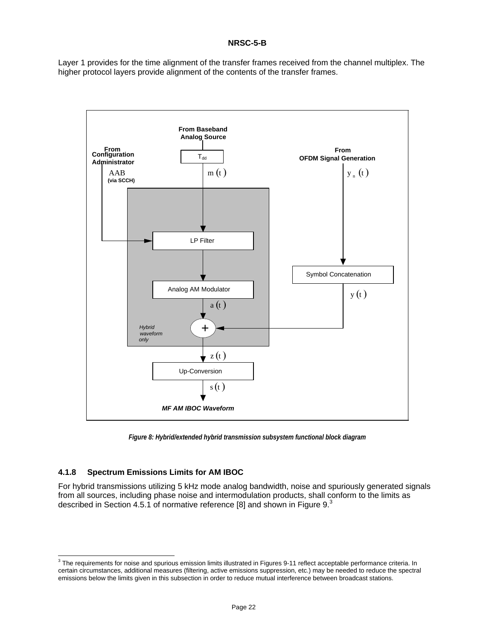Layer 1 provides for the time alignment of the transfer frames received from the channel multiplex. The higher protocol layers provide alignment of the contents of the transfer frames.



*Figure 8: Hybrid/extended hybrid transmission subsystem functional block diagram* 

# **4.1.8 Spectrum Emissions Limits for AM IBOC**

For hybrid transmissions utilizing 5 kHz mode analog bandwidth, noise and spuriously generated signals from all sources, including phase noise and intermodulation products, shall conform to the limits as described in Section 4.5.1 of normative reference [8] and shown in Figure  $9<sup>3</sup>$ 

 3 The requirements for noise and spurious emission limits illustrated in Figures 9-11 reflect acceptable performance criteria. In certain circumstances, additional measures (filtering, active emissions suppression, etc.) may be needed to reduce the spectral emissions below the limits given in this subsection in order to reduce mutual interference between broadcast stations.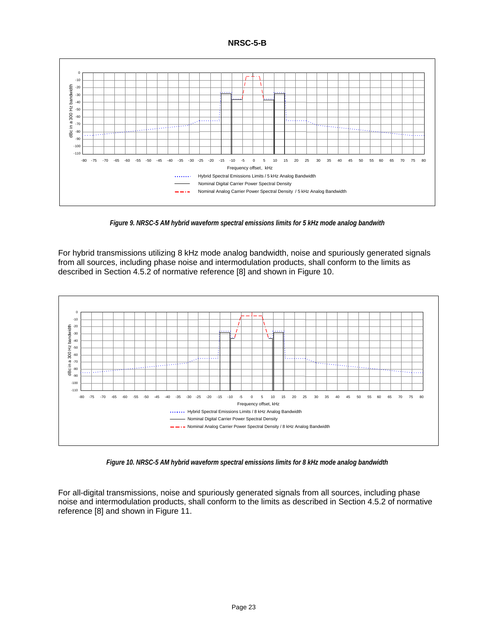

*Figure 9. NRSC-5 AM hybrid waveform spectral emissions limits for 5 kHz mode analog bandwith* 

For hybrid transmissions utilizing 8 kHz mode analog bandwidth, noise and spuriously generated signals from all sources, including phase noise and intermodulation products, shall conform to the limits as described in Section 4.5.2 of normative reference [8] and shown in Figure 10.



*Figure 10. NRSC-5 AM hybrid waveform spectral emissions limits for 8 kHz mode analog bandwidth* 

For all-digital transmissions, noise and spuriously generated signals from all sources, including phase noise and intermodulation products, shall conform to the limits as described in Section 4.5.2 of normative reference [8] and shown in Figure 11.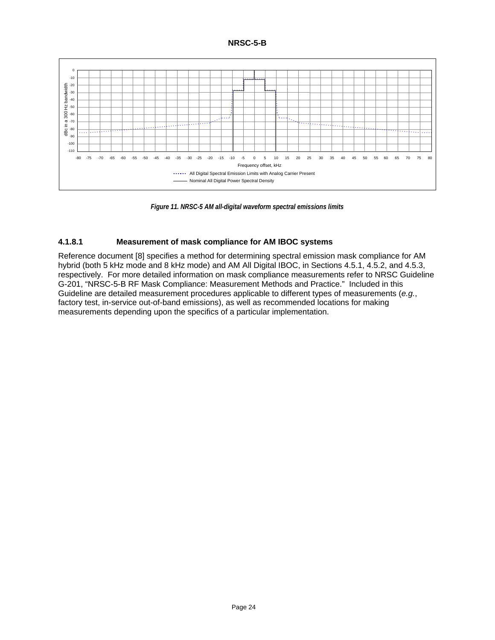

*Figure 11. NRSC-5 AM all-digital waveform spectral emissions limits* 

# **4.1.8.1 Measurement of mask compliance for AM IBOC systems**

Reference document [8] specifies a method for determining spectral emission mask compliance for AM hybrid (both 5 kHz mode and 8 kHz mode) and AM All Digital IBOC, in Sections 4.5.1, 4.5.2, and 4.5.3, respectively. For more detailed information on mask compliance measurements refer to NRSC Guideline G-201, "NRSC-5-B RF Mask Compliance: Measurement Methods and Practice." Included in this Guideline are detailed measurement procedures applicable to different types of measurements (*e.g.*, factory test, in-service out-of-band emissions), as well as recommended locations for making measurements depending upon the specifics of a particular implementation.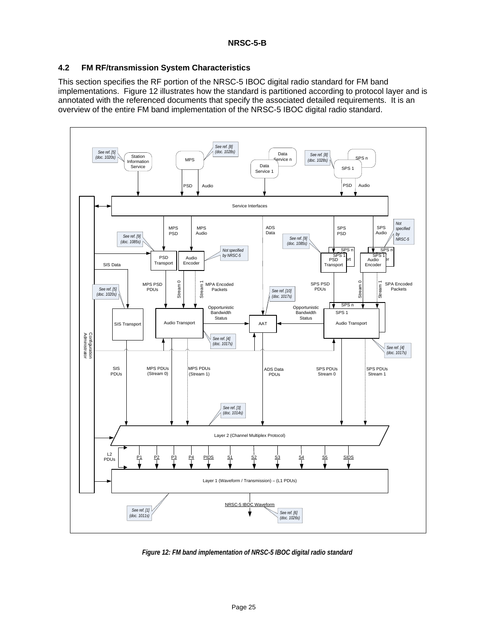# **4.2 FM RF/transmission System Characteristics**

This section specifies the RF portion of the NRSC-5 IBOC digital radio standard for FM band implementations. Figure 12 illustrates how the standard is partitioned according to protocol layer and is annotated with the referenced documents that specify the associated detailed requirements. It is an overview of the entire FM band implementation of the NRSC-5 IBOC digital radio standard.



*Figure 12: FM band implementation of NRSC-5 IBOC digital radio standard*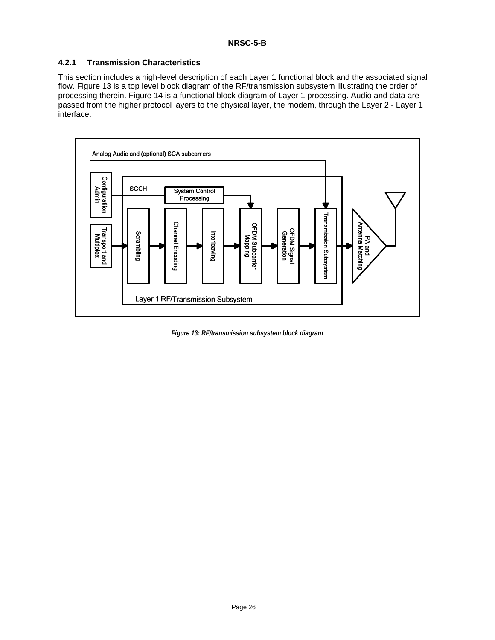# **4.2.1 Transmission Characteristics**

This section includes a high-level description of each Layer 1 functional block and the associated signal flow. Figure 13 is a top level block diagram of the RF/transmission subsystem illustrating the order of processing therein. Figure 14 is a functional block diagram of Layer 1 processing. Audio and data are passed from the higher protocol layers to the physical layer, the modem, through the Layer 2 - Layer 1 interface.



*Figure 13: RF/transmission subsystem block diagram*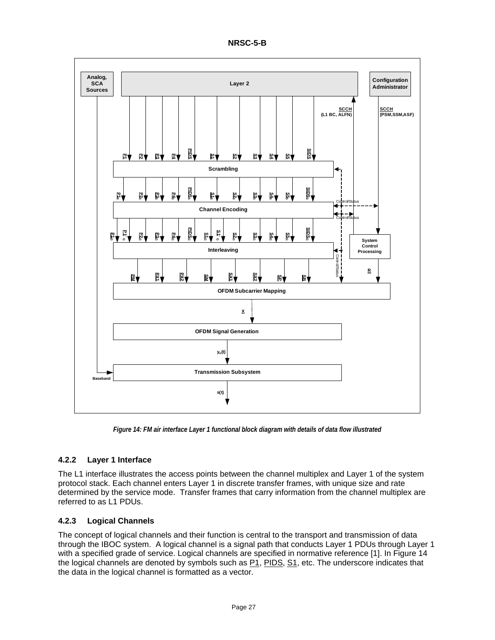**NRSC-5-B** 



*Figure 14: FM air interface Layer 1 functional block diagram with details of data flow illustrated* 

# **4.2.2 Layer 1 Interface**

The L1 interface illustrates the access points between the channel multiplex and Layer 1 of the system protocol stack. Each channel enters Layer 1 in discrete transfer frames, with unique size and rate determined by the service mode. Transfer frames that carry information from the channel multiplex are referred to as L1 PDUs.

# **4.2.3 Logical Channels**

The concept of logical channels and their function is central to the transport and transmission of data through the IBOC system. A logical channel is a signal path that conducts Layer 1 PDUs through Layer 1 with a specified grade of service. Logical channels are specified in normative reference [1]. In Figure 14 the logical channels are denoted by symbols such as  $P1$ ,  $PIDS$ ,  $S1$ , etc. The underscore indicates that the data in the logical channel is formatted as a vector.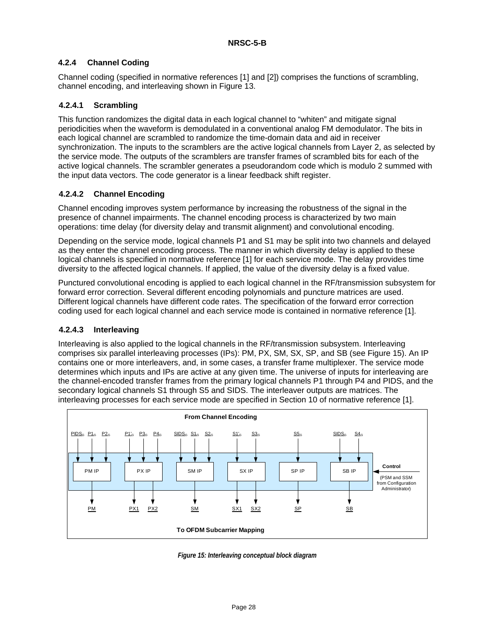# **4.2.4 Channel Coding**

Channel coding (specified in normative references [1] and [2]) comprises the functions of scrambling, channel encoding, and interleaving shown in Figure 13.

# **4.2.4.1 Scrambling**

This function randomizes the digital data in each logical channel to "whiten" and mitigate signal periodicities when the waveform is demodulated in a conventional analog FM demodulator. The bits in each logical channel are scrambled to randomize the time-domain data and aid in receiver synchronization. The inputs to the scramblers are the active logical channels from Layer 2, as selected by the service mode. The outputs of the scramblers are transfer frames of scrambled bits for each of the active logical channels. The scrambler generates a pseudorandom code which is modulo 2 summed with the input data vectors. The code generator is a linear feedback shift register.

# **4.2.4.2 Channel Encoding**

Channel encoding improves system performance by increasing the robustness of the signal in the presence of channel impairments. The channel encoding process is characterized by two main operations: time delay (for diversity delay and transmit alignment) and convolutional encoding.

Depending on the service mode, logical channels P1 and S1 may be split into two channels and delayed as they enter the channel encoding process. The manner in which diversity delay is applied to these logical channels is specified in normative reference [1] for each service mode. The delay provides time diversity to the affected logical channels. If applied, the value of the diversity delay is a fixed value.

Punctured convolutional encoding is applied to each logical channel in the RF/transmission subsystem for forward error correction. Several different encoding polynomials and puncture matrices are used. Different logical channels have different code rates. The specification of the forward error correction coding used for each logical channel and each service mode is contained in normative reference [1].

# **4.2.4.3 Interleaving**

Interleaving is also applied to the logical channels in the RF/transmission subsystem. Interleaving comprises six parallel interleaving processes (IPs): PM, PX, SM, SX, SP, and SB (see Figure 15). An IP contains one or more interleavers, and, in some cases, a transfer frame multiplexer. The service mode determines which inputs and IPs are active at any given time. The universe of inputs for interleaving are the channel-encoded transfer frames from the primary logical channels P1 through P4 and PIDS, and the secondary logical channels S1 through S5 and SIDS. The interleaver outputs are matrices. The interleaving processes for each service mode are specified in Section 10 of normative reference [1].



*Figure 15: Interleaving conceptual block diagram*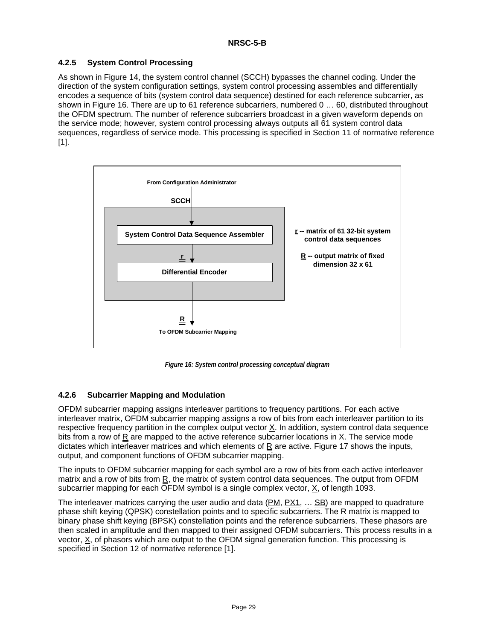# **4.2.5 System Control Processing**

As shown in Figure 14, the system control channel (SCCH) bypasses the channel coding. Under the direction of the system configuration settings, system control processing assembles and differentially encodes a sequence of bits (system control data sequence) destined for each reference subcarrier, as shown in Figure 16. There are up to 61 reference subcarriers, numbered 0 … 60, distributed throughout the OFDM spectrum. The number of reference subcarriers broadcast in a given waveform depends on the service mode; however, system control processing always outputs all 61 system control data sequences, regardless of service mode. This processing is specified in Section 11 of normative reference [1].



*Figure 16: System control processing conceptual diagram* 

# **4.2.6 Subcarrier Mapping and Modulation**

OFDM subcarrier mapping assigns interleaver partitions to frequency partitions. For each active interleaver matrix, OFDM subcarrier mapping assigns a row of bits from each interleaver partition to its respective frequency partition in the complex output vector X. In addition, system control data sequence bits from a row of R are mapped to the active reference subcarrier locations in X. The service mode dictates which interleaver matrices and which elements of  $R$  are active. Figure 17 shows the inputs, output, and component functions of OFDM subcarrier mapping.

The inputs to OFDM subcarrier mapping for each symbol are a row of bits from each active interleaver matrix and a row of bits from  $R$ , the matrix of system control data sequences. The output from OFDM subcarrier mapping for each OFDM symbol is a single complex vector, X, of length 1093.

The interleaver matrices carrying the user audio and data  $(PM, PX1, ... SD)$  are mapped to quadrature phase shift keying (QPSK) constellation points and to specific subcarriers. The R matrix is mapped to binary phase shift keying (BPSK) constellation points and the reference subcarriers. These phasors are then scaled in amplitude and then mapped to their assigned OFDM subcarriers. This process results in a vector, X, of phasors which are output to the OFDM signal generation function. This processing is specified in Section 12 of normative reference [1].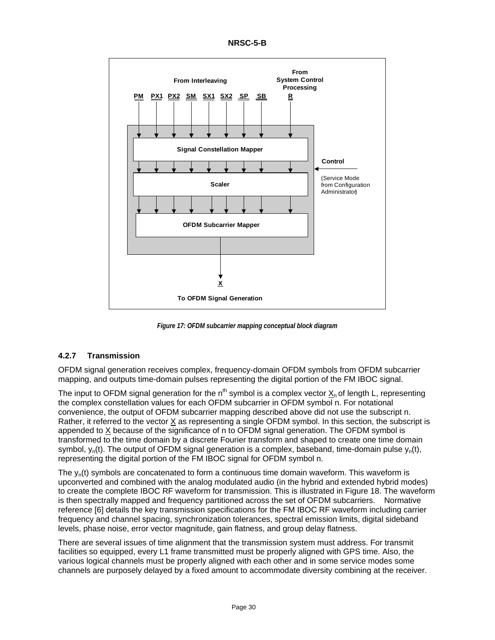



*Figure 17: OFDM subcarrier mapping conceptual block diagram* 

# **4.2.7 Transmission**

OFDM signal generation receives complex, frequency-domain OFDM symbols from OFDM subcarrier mapping, and outputs time-domain pulses representing the digital portion of the FM IBOC signal.

The input to OFDM signal generation for the n<sup>th</sup> symbol is a complex vector  $X_n$  of length L, representing the complex constellation values for each OFDM subcarrier in OFDM symbol n. For notational convenience, the output of OFDM subcarrier mapping described above did not use the subscript n. Rather, it referred to the vector  $\underline{X}$  as representing a single OFDM symbol. In this section, the subscript is appended to X because of the significance of n to OFDM signal generation. The OFDM symbol is transformed to the time domain by a discrete Fourier transform and shaped to create one time domain symbol,  $y_n(t)$ . The output of OFDM signal generation is a complex, baseband, time-domain pulse  $y_n(t)$ , representing the digital portion of the FM IBOC signal for OFDM symbol n.

The  $y_n(t)$  symbols are concatenated to form a continuous time domain waveform. This waveform is upconverted and combined with the analog modulated audio (in the hybrid and extended hybrid modes) to create the complete IBOC RF waveform for transmission. This is illustrated in Figure 18. The waveform is then spectrally mapped and frequency partitioned across the set of OFDM subcarriers. Normative reference [6] details the key transmission specifications for the FM IBOC RF waveform including carrier frequency and channel spacing, synchronization tolerances, spectral emission limits, digital sideband levels, phase noise, error vector magnitude, gain flatness, and group delay flatness.

There are several issues of time alignment that the transmission system must address. For transmit facilities so equipped, every L1 frame transmitted must be properly aligned with GPS time. Also, the various logical channels must be properly aligned with each other and in some service modes some channels are purposely delayed by a fixed amount to accommodate diversity combining at the receiver.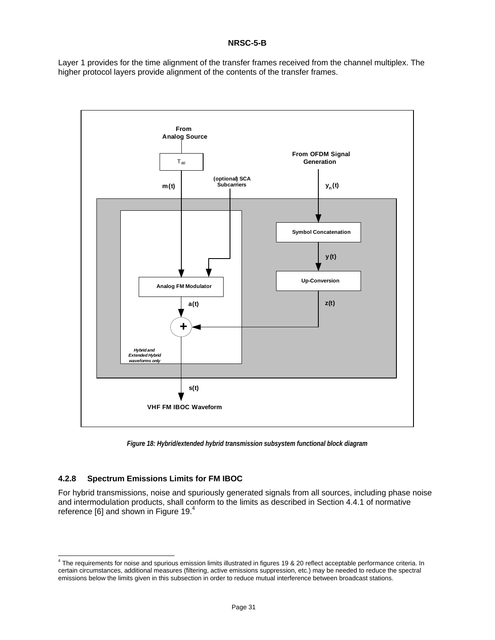Layer 1 provides for the time alignment of the transfer frames received from the channel multiplex. The higher protocol layers provide alignment of the contents of the transfer frames.



*Figure 18: Hybrid/extended hybrid transmission subsystem functional block diagram* 

# **4.2.8 Spectrum Emissions Limits for FM IBOC**

For hybrid transmissions, noise and spuriously generated signals from all sources, including phase noise and intermodulation products, shall conform to the limits as described in Section 4.4.1 of normative reference [6] and shown in Figure 19.<sup>4</sup>

 4 The requirements for noise and spurious emission limits illustrated in figures 19 & 20 reflect acceptable performance criteria. In certain circumstances, additional measures (filtering, active emissions suppression, etc.) may be needed to reduce the spectral emissions below the limits given in this subsection in order to reduce mutual interference between broadcast stations.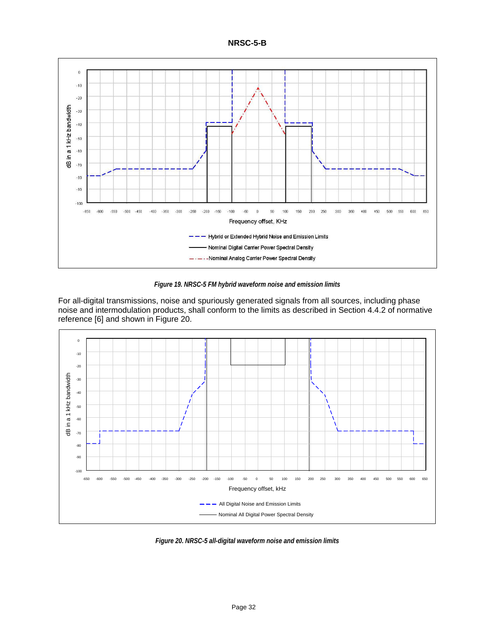

*Figure 19. NRSC-5 FM hybrid waveform noise and emission limits* 

For all-digital transmissions, noise and spuriously generated signals from all sources, including phase noise and intermodulation products, shall conform to the limits as described in Section 4.4.2 of normative reference [6] and shown in Figure 20.



*Figure 20. NRSC-5 all-digital waveform noise and emission limits*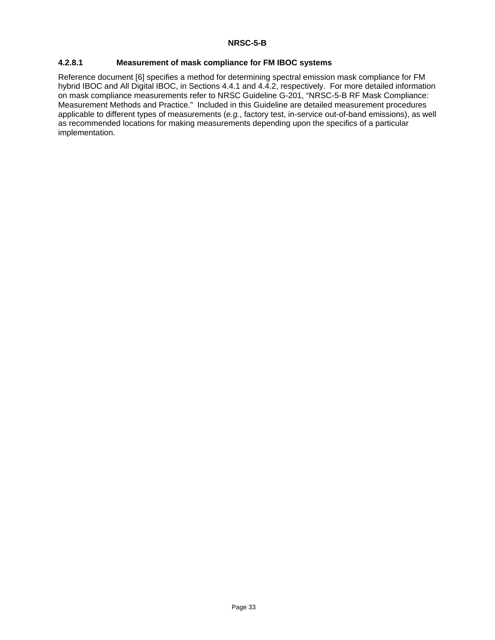# **4.2.8.1 Measurement of mask compliance for FM IBOC systems**

Reference document [6] specifies a method for determining spectral emission mask compliance for FM hybrid IBOC and All Digital IBOC, in Sections 4.4.1 and 4.4.2, respectively. For more detailed information on mask compliance measurements refer to NRSC Guideline G-201, "NRSC-5-B RF Mask Compliance: Measurement Methods and Practice." Included in this Guideline are detailed measurement procedures applicable to different types of measurements (*e.g.*, factory test, in-service out-of-band emissions), as well as recommended locations for making measurements depending upon the specifics of a particular implementation.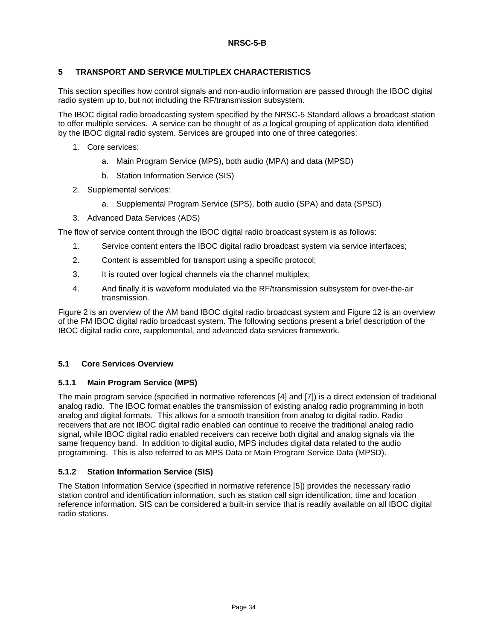# **5 TRANSPORT AND SERVICE MULTIPLEX CHARACTERISTICS**

This section specifies how control signals and non-audio information are passed through the IBOC digital radio system up to, but not including the RF/transmission subsystem.

The IBOC digital radio broadcasting system specified by the NRSC-5 Standard allows a broadcast station to offer multiple services. A service can be thought of as a logical grouping of application data identified by the IBOC digital radio system. Services are grouped into one of three categories:

- 1. Core services:
	- a. Main Program Service (MPS), both audio (MPA) and data (MPSD)
	- b. Station Information Service (SIS)
- 2. Supplemental services:
	- a. Supplemental Program Service (SPS), both audio (SPA) and data (SPSD)
- 3. Advanced Data Services (ADS)

The flow of service content through the IBOC digital radio broadcast system is as follows:

- 1. Service content enters the IBOC digital radio broadcast system via service interfaces;
- 2. Content is assembled for transport using a specific protocol;
- 3. It is routed over logical channels via the channel multiplex;
- 4. And finally it is waveform modulated via the RF/transmission subsystem for over-the-air transmission.

Figure 2 is an overview of the AM band IBOC digital radio broadcast system and Figure 12 is an overview of the FM IBOC digital radio broadcast system. The following sections present a brief description of the IBOC digital radio core, supplemental, and advanced data services framework.

#### **5.1 Core Services Overview**

#### **5.1.1 Main Program Service (MPS)**

The main program service (specified in normative references [4] and [7]) is a direct extension of traditional analog radio. The IBOC format enables the transmission of existing analog radio programming in both analog and digital formats. This allows for a smooth transition from analog to digital radio. Radio receivers that are not IBOC digital radio enabled can continue to receive the traditional analog radio signal, while IBOC digital radio enabled receivers can receive both digital and analog signals via the same frequency band. In addition to digital audio, MPS includes digital data related to the audio programming. This is also referred to as MPS Data or Main Program Service Data (MPSD).

# **5.1.2 Station Information Service (SIS)**

The Station Information Service (specified in normative reference [5]) provides the necessary radio station control and identification information, such as station call sign identification, time and location reference information. SIS can be considered a built-in service that is readily available on all IBOC digital radio stations.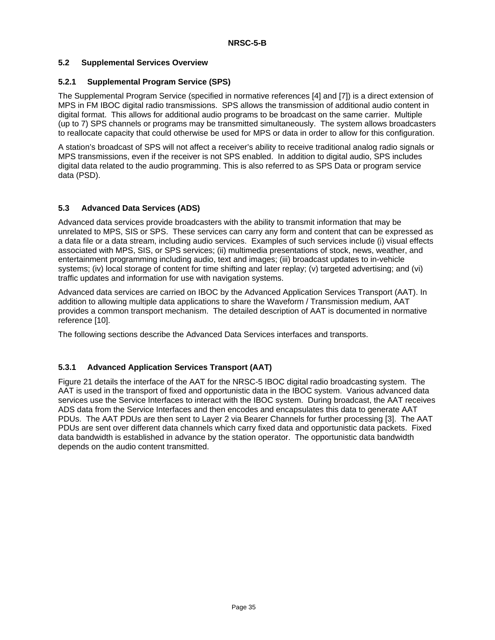# **5.2 Supplemental Services Overview**

#### **5.2.1 Supplemental Program Service (SPS)**

The Supplemental Program Service (specified in normative references [4] and [7]) is a direct extension of MPS in FM IBOC digital radio transmissions. SPS allows the transmission of additional audio content in digital format. This allows for additional audio programs to be broadcast on the same carrier. Multiple (up to 7) SPS channels or programs may be transmitted simultaneously. The system allows broadcasters to reallocate capacity that could otherwise be used for MPS or data in order to allow for this configuration.

A station's broadcast of SPS will not affect a receiver's ability to receive traditional analog radio signals or MPS transmissions, even if the receiver is not SPS enabled. In addition to digital audio, SPS includes digital data related to the audio programming. This is also referred to as SPS Data or program service data (PSD).

# **5.3 Advanced Data Services (ADS)**

Advanced data services provide broadcasters with the ability to transmit information that may be unrelated to MPS, SIS or SPS. These services can carry any form and content that can be expressed as a data file or a data stream, including audio services. Examples of such services include (i) visual effects associated with MPS, SIS, or SPS services; (ii) multimedia presentations of stock, news, weather, and entertainment programming including audio, text and images; (iii) broadcast updates to in-vehicle systems; (iv) local storage of content for time shifting and later replay; (v) targeted advertising; and (vi) traffic updates and information for use with navigation systems.

Advanced data services are carried on IBOC by the Advanced Application Services Transport (AAT). In addition to allowing multiple data applications to share the Waveform / Transmission medium, AAT provides a common transport mechanism. The detailed description of AAT is documented in normative reference [10].

The following sections describe the Advanced Data Services interfaces and transports.

# **5.3.1 Advanced Application Services Transport (AAT)**

Figure 21 details the interface of the AAT for the NRSC-5 IBOC digital radio broadcasting system. The AAT is used in the transport of fixed and opportunistic data in the IBOC system. Various advanced data services use the Service Interfaces to interact with the IBOC system. During broadcast, the AAT receives ADS data from the Service Interfaces and then encodes and encapsulates this data to generate AAT PDUs. The AAT PDUs are then sent to Layer 2 via Bearer Channels for further processing [3]. The AAT PDUs are sent over different data channels which carry fixed data and opportunistic data packets. Fixed data bandwidth is established in advance by the station operator. The opportunistic data bandwidth depends on the audio content transmitted.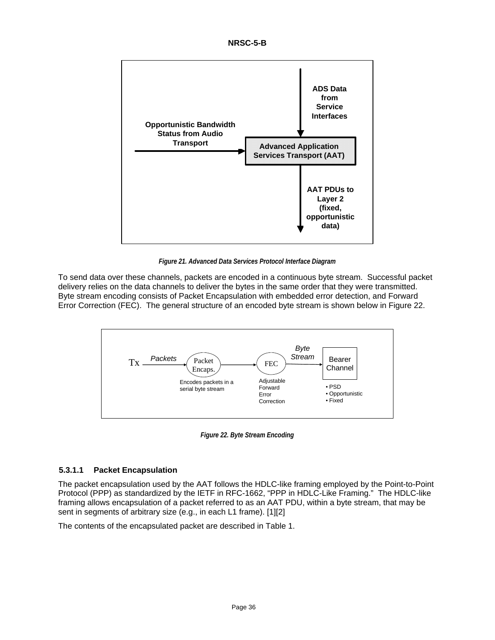



*Figure 21. Advanced Data Services Protocol Interface Diagram* 

To send data over these channels, packets are encoded in a continuous byte stream. Successful packet delivery relies on the data channels to deliver the bytes in the same order that they were transmitted. Byte stream encoding consists of Packet Encapsulation with embedded error detection, and Forward Error Correction (FEC). The general structure of an encoded byte stream is shown below in Figure 22.



*Figure 22. Byte Stream Encoding* 

# **5.3.1.1 Packet Encapsulation**

The packet encapsulation used by the AAT follows the HDLC-like framing employed by the Point-to-Point Protocol (PPP) as standardized by the IETF in RFC-1662, "PPP in HDLC-Like Framing." The HDLC-like framing allows encapsulation of a packet referred to as an AAT PDU, within a byte stream, that may be sent in segments of arbitrary size (e.g., in each L1 frame). [1][2]

The contents of the encapsulated packet are described in Table 1.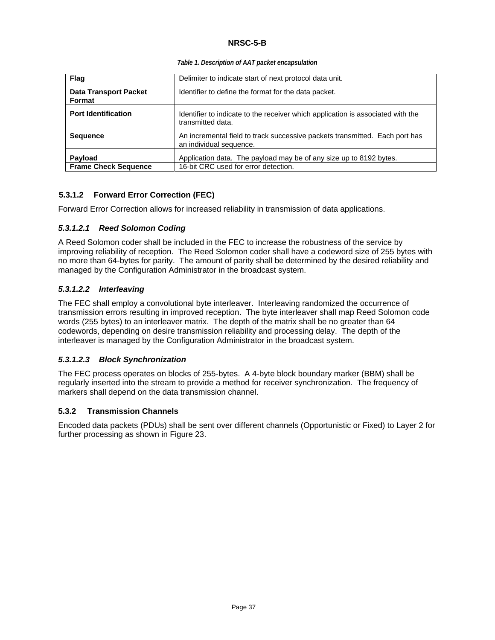| Flag                                   | Delimiter to indicate start of next protocol data unit.                                                |
|----------------------------------------|--------------------------------------------------------------------------------------------------------|
| <b>Data Transport Packet</b><br>Format | Identifier to define the format for the data packet.                                                   |
| <b>Port Identification</b>             | Identifier to indicate to the receiver which application is associated with the<br>transmitted data.   |
| <b>Sequence</b>                        | An incremental field to track successive packets transmitted. Each port has<br>an individual sequence. |
| Payload                                | Application data. The payload may be of any size up to 8192 bytes.                                     |
| <b>Frame Check Sequence</b>            | 16-bit CRC used for error detection.                                                                   |

# **5.3.1.2 Forward Error Correction (FEC)**

Forward Error Correction allows for increased reliability in transmission of data applications.

# *5.3.1.2.1 Reed Solomon Coding*

A Reed Solomon coder shall be included in the FEC to increase the robustness of the service by improving reliability of reception. The Reed Solomon coder shall have a codeword size of 255 bytes with no more than 64-bytes for parity. The amount of parity shall be determined by the desired reliability and managed by the Configuration Administrator in the broadcast system.

# *5.3.1.2.2 Interleaving*

The FEC shall employ a convolutional byte interleaver. Interleaving randomized the occurrence of transmission errors resulting in improved reception. The byte interleaver shall map Reed Solomon code words (255 bytes) to an interleaver matrix. The depth of the matrix shall be no greater than 64 codewords, depending on desire transmission reliability and processing delay. The depth of the interleaver is managed by the Configuration Administrator in the broadcast system.

# *5.3.1.2.3 Block Synchronization*

The FEC process operates on blocks of 255-bytes. A 4-byte block boundary marker (BBM) shall be regularly inserted into the stream to provide a method for receiver synchronization. The frequency of markers shall depend on the data transmission channel.

# **5.3.2 Transmission Channels**

Encoded data packets (PDUs) shall be sent over different channels (Opportunistic or Fixed) to Layer 2 for further processing as shown in Figure 23.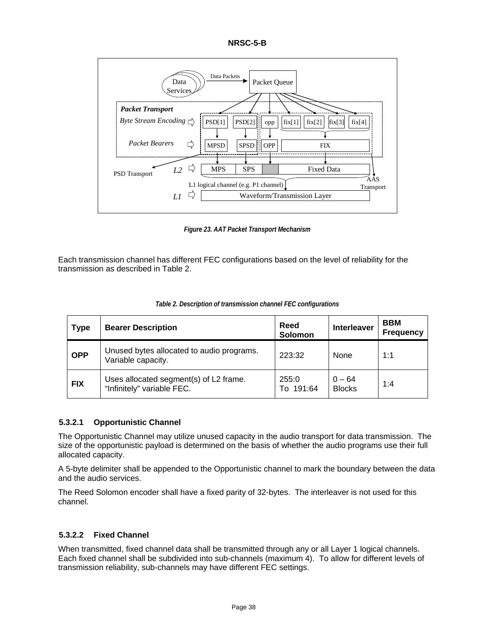



*Figure 23. AAT Packet Transport Mechanism* 

Each transmission channel has different FEC configurations based on the level of reliability for the transmission as described in Table 2.

| Type       | <b>Bearer Description</b>                                            | Reed<br>Solomon    | <b>Interleaver</b>        | <b>BBM</b><br><b>Frequency</b> |
|------------|----------------------------------------------------------------------|--------------------|---------------------------|--------------------------------|
| <b>OPP</b> | Unused bytes allocated to audio programs.<br>Variable capacity.      | 223:32             | None                      | 1:1                            |
| <b>FIX</b> | Uses allocated segment(s) of L2 frame.<br>"Infinitely" variable FEC. | 255:0<br>To 191:64 | $0 - 64$<br><b>Blocks</b> | 1:4                            |

# **5.3.2.1 Opportunistic Channel**

The Opportunistic Channel may utilize unused capacity in the audio transport for data transmission. The size of the opportunistic payload is determined on the basis of whether the audio programs use their full allocated capacity.

A 5-byte delimiter shall be appended to the Opportunistic channel to mark the boundary between the data and the audio services.

The Reed Solomon encoder shall have a fixed parity of 32-bytes. The interleaver is not used for this channel.

# **5.3.2.2 Fixed Channel**

When transmitted, fixed channel data shall be transmitted through any or all Layer 1 logical channels. Each fixed channel shall be subdivided into sub-channels (maximum 4). To allow for different levels of transmission reliability, sub-channels may have different FEC settings.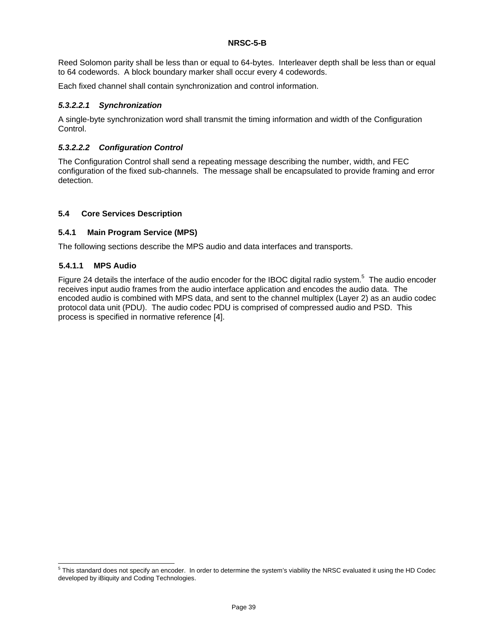Reed Solomon parity shall be less than or equal to 64-bytes. Interleaver depth shall be less than or equal to 64 codewords. A block boundary marker shall occur every 4 codewords.

Each fixed channel shall contain synchronization and control information.

# *5.3.2.2.1 Synchronization*

A single-byte synchronization word shall transmit the timing information and width of the Configuration Control.

# *5.3.2.2.2 Configuration Control*

The Configuration Control shall send a repeating message describing the number, width, and FEC configuration of the fixed sub-channels. The message shall be encapsulated to provide framing and error detection.

# **5.4 Core Services Description**

# **5.4.1 Main Program Service (MPS)**

The following sections describe the MPS audio and data interfaces and transports.

# **5.4.1.1 MPS Audio**

Figure 24 details the interface of the audio encoder for the IBOC digital radio system.<sup>5</sup> The audio encoder receives input audio frames from the audio interface application and encodes the audio data. The encoded audio is combined with MPS data, and sent to the channel multiplex (Layer 2) as an audio codec protocol data unit (PDU). The audio codec PDU is comprised of compressed audio and PSD. This process is specified in normative reference [4].

 5 This standard does not specify an encoder. In order to determine the system's viability the NRSC evaluated it using the HD Codec developed by iBiquity and Coding Technologies.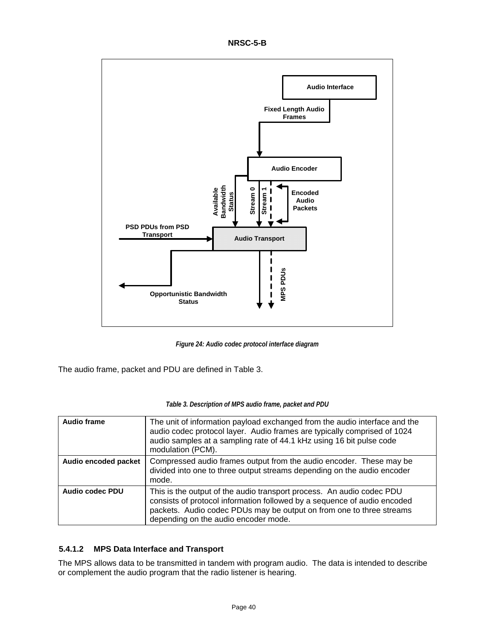



*Figure 24: Audio codec protocol interface diagram* 

The audio frame, packet and PDU are defined in Table 3.

| Table 3. Description of MPS audio frame, packet and PDU |  |
|---------------------------------------------------------|--|
|---------------------------------------------------------|--|

| <b>Audio frame</b>   | The unit of information payload exchanged from the audio interface and the<br>audio codec protocol layer. Audio frames are typically comprised of 1024<br>audio samples at a sampling rate of 44.1 kHz using 16 bit pulse code<br>modulation (PCM).               |
|----------------------|-------------------------------------------------------------------------------------------------------------------------------------------------------------------------------------------------------------------------------------------------------------------|
| Audio encoded packet | Compressed audio frames output from the audio encoder. These may be<br>divided into one to three output streams depending on the audio encoder<br>mode.                                                                                                           |
| Audio codec PDU      | This is the output of the audio transport process. An audio codec PDU<br>consists of protocol information followed by a sequence of audio encoded<br>packets. Audio codec PDUs may be output on from one to three streams<br>depending on the audio encoder mode. |

# **5.4.1.2 MPS Data Interface and Transport**

The MPS allows data to be transmitted in tandem with program audio. The data is intended to describe or complement the audio program that the radio listener is hearing.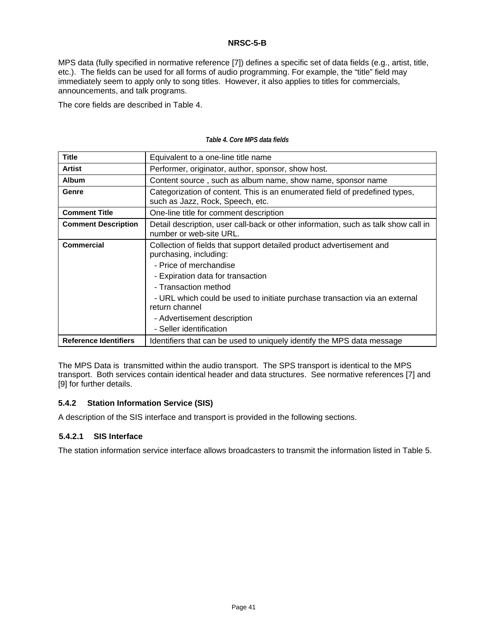MPS data (fully specified in normative reference [7]) defines a specific set of data fields (e.g., artist, title, etc.). The fields can be used for all forms of audio programming. For example, the "title" field may immediately seem to apply only to song titles. However, it also applies to titles for commercials, announcements, and talk programs.

The core fields are described in Table 4.

| <b>Title</b>                 | Equivalent to a one-line title name                                                                                                                                                                                                                                                                                                             |  |
|------------------------------|-------------------------------------------------------------------------------------------------------------------------------------------------------------------------------------------------------------------------------------------------------------------------------------------------------------------------------------------------|--|
| <b>Artist</b>                | Performer, originator, author, sponsor, show host.                                                                                                                                                                                                                                                                                              |  |
| <b>Album</b>                 | Content source, such as album name, show name, sponsor name                                                                                                                                                                                                                                                                                     |  |
| Genre                        | Categorization of content. This is an enumerated field of predefined types,<br>such as Jazz, Rock, Speech, etc.                                                                                                                                                                                                                                 |  |
| <b>Comment Title</b>         | One-line title for comment description                                                                                                                                                                                                                                                                                                          |  |
| <b>Comment Description</b>   | Detail description, user call-back or other information, such as talk show call in<br>number or web-site URL.                                                                                                                                                                                                                                   |  |
| <b>Commercial</b>            | Collection of fields that support detailed product advertisement and<br>purchasing, including:<br>- Price of merchandise<br>- Expiration data for transaction<br>- Transaction method<br>- URL which could be used to initiate purchase transaction via an external<br>return channel<br>- Advertisement description<br>- Seller identification |  |
| <b>Reference Identifiers</b> | Identifiers that can be used to uniquely identify the MPS data message                                                                                                                                                                                                                                                                          |  |

# *Table 4. Core MPS data fields*

The MPS Data is transmitted within the audio transport. The SPS transport is identical to the MPS transport. Both services contain identical header and data structures. See normative references [7] and [9] for further details.

# **5.4.2 Station Information Service (SIS)**

A description of the SIS interface and transport is provided in the following sections.

# **5.4.2.1 SIS Interface**

The station information service interface allows broadcasters to transmit the information listed in Table 5.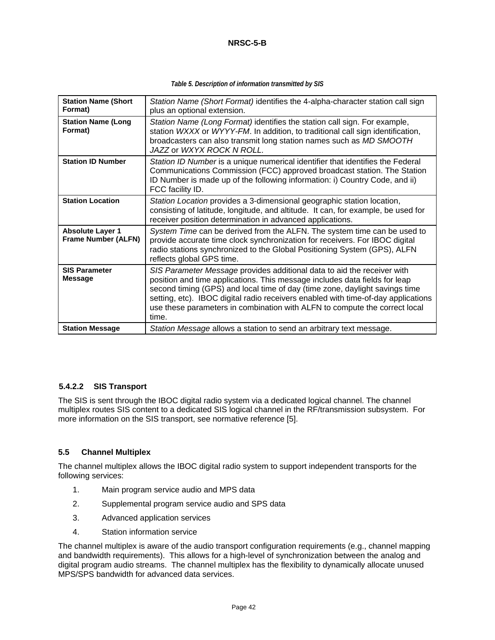| <b>Station Name (Short</b><br>Format)                 | Station Name (Short Format) identifies the 4-alpha-character station call sign<br>plus an optional extension.                                                                                                                                                                                                                                                                                                    |
|-------------------------------------------------------|------------------------------------------------------------------------------------------------------------------------------------------------------------------------------------------------------------------------------------------------------------------------------------------------------------------------------------------------------------------------------------------------------------------|
| <b>Station Name (Long</b><br>Format)                  | Station Name (Long Format) identifies the station call sign. For example,<br>station WXXX or WYYY-FM. In addition, to traditional call sign identification,<br>broadcasters can also transmit long station names such as MD SMOOTH<br>JAZZ or WXYX ROCK N ROLL.                                                                                                                                                  |
| <b>Station ID Number</b>                              | Station ID Number is a unique numerical identifier that identifies the Federal<br>Communications Commission (FCC) approved broadcast station. The Station<br>ID Number is made up of the following information: i) Country Code, and ii)<br>FCC facility ID.                                                                                                                                                     |
| <b>Station Location</b>                               | Station Location provides a 3-dimensional geographic station location,<br>consisting of latitude, longitude, and altitude. It can, for example, be used for<br>receiver position determination in advanced applications.                                                                                                                                                                                         |
| <b>Absolute Layer 1</b><br><b>Frame Number (ALFN)</b> | System Time can be derived from the ALFN. The system time can be used to<br>provide accurate time clock synchronization for receivers. For IBOC digital<br>radio stations synchronized to the Global Positioning System (GPS), ALFN<br>reflects global GPS time.                                                                                                                                                 |
| <b>SIS Parameter</b><br><b>Message</b>                | SIS Parameter Message provides additional data to aid the receiver with<br>position and time applications. This message includes data fields for leap<br>second timing (GPS) and local time of day (time zone, daylight savings time<br>setting, etc). IBOC digital radio receivers enabled with time-of-day applications<br>use these parameters in combination with ALFN to compute the correct local<br>time. |
| <b>Station Message</b>                                | Station Message allows a station to send an arbitrary text message.                                                                                                                                                                                                                                                                                                                                              |

#### *Table 5. Description of information transmitted by SIS*

# **5.4.2.2 SIS Transport**

The SIS is sent through the IBOC digital radio system via a dedicated logical channel. The channel multiplex routes SIS content to a dedicated SIS logical channel in the RF/transmission subsystem. For more information on the SIS transport, see normative reference [5].

# **5.5 Channel Multiplex**

The channel multiplex allows the IBOC digital radio system to support independent transports for the following services:

- 1. Main program service audio and MPS data
- 2. Supplemental program service audio and SPS data
- 3. Advanced application services
- 4. Station information service

The channel multiplex is aware of the audio transport configuration requirements (e.g., channel mapping and bandwidth requirements). This allows for a high-level of synchronization between the analog and digital program audio streams. The channel multiplex has the flexibility to dynamically allocate unused MPS/SPS bandwidth for advanced data services.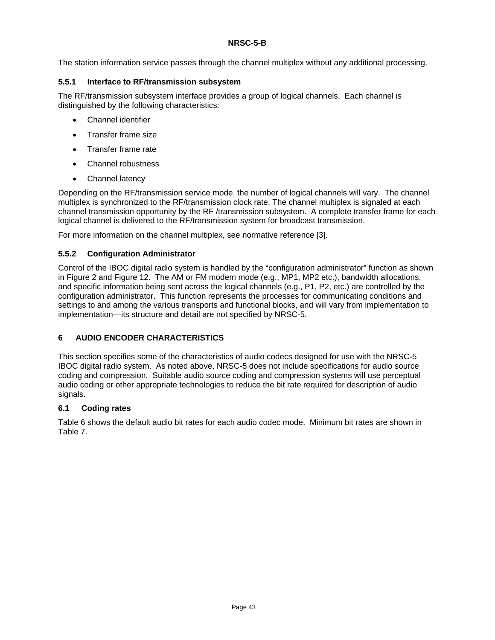The station information service passes through the channel multiplex without any additional processing.

# **5.5.1 Interface to RF/transmission subsystem**

The RF/transmission subsystem interface provides a group of logical channels. Each channel is distinguished by the following characteristics:

- Channel identifier
- Transfer frame size
- Transfer frame rate
- Channel robustness
- Channel latency

Depending on the RF/transmission service mode, the number of logical channels will vary. The channel multiplex is synchronized to the RF/transmission clock rate. The channel multiplex is signaled at each channel transmission opportunity by the RF /transmission subsystem. A complete transfer frame for each logical channel is delivered to the RF/transmission system for broadcast transmission.

For more information on the channel multiplex, see normative reference [3].

# **5.5.2 Configuration Administrator**

Control of the IBOC digital radio system is handled by the "configuration administrator" function as shown in Figure 2 and Figure 12. The AM or FM modem mode (e.g., MP1, MP2 etc.), bandwidth allocations, and specific information being sent across the logical channels (e.g., P1, P2, etc.) are controlled by the configuration administrator. This function represents the processes for communicating conditions and settings to and among the various transports and functional blocks, and will vary from implementation to implementation—its structure and detail are not specified by NRSC-5.

# **6 AUDIO ENCODER CHARACTERISTICS**

This section specifies some of the characteristics of audio codecs designed for use with the NRSC-5 IBOC digital radio system. As noted above, NRSC-5 does not include specifications for audio source coding and compression. Suitable audio source coding and compression systems will use perceptual audio coding or other appropriate technologies to reduce the bit rate required for description of audio signals.

# **6.1 Coding rates**

Table 6 shows the default audio bit rates for each audio codec mode. Minimum bit rates are shown in Table 7.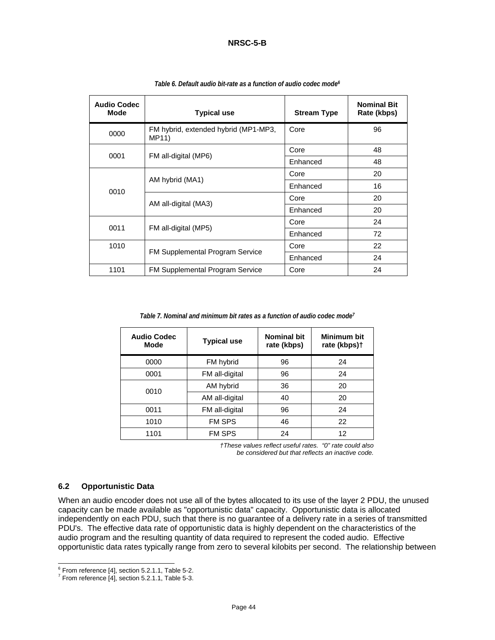| <b>Audio Codec</b><br>Mode | <b>Typical use</b>                            | <b>Stream Type</b> | <b>Nominal Bit</b><br>Rate (kbps) |
|----------------------------|-----------------------------------------------|--------------------|-----------------------------------|
| 0000                       | FM hybrid, extended hybrid (MP1-MP3,<br>MP11) | Core               | 96                                |
| 0001                       | FM all-digital (MP6)                          | Core               | 48                                |
|                            |                                               | Enhanced           | 48                                |
|                            | AM hybrid (MA1)                               | Core               | 20                                |
| 0010                       |                                               | Enhanced           | 16                                |
|                            |                                               | Core               | 20                                |
|                            | AM all-digital (MA3)                          | Enhanced           | 20                                |
| 0011                       | FM all-digital (MP5)                          | Core               | 24                                |
|                            |                                               | Enhanced           | 72                                |
| 1010                       |                                               | Core               | 22                                |
|                            | <b>FM Supplemental Program Service</b>        | Enhanced           | 24                                |
| 1101                       | <b>FM Supplemental Program Service</b>        | Core               | 24                                |

*Table 6. Default audio bit-rate as a function of audio codec mode6*

*Table 7. Nominal and minimum bit rates as a function of audio codec mode7*

| <b>Audio Codec</b><br><b>Mode</b> | <b>Typical use</b> | <b>Nominal bit</b><br>rate (kbps) | <b>Minimum bit</b><br>rate (kbps)+ |
|-----------------------------------|--------------------|-----------------------------------|------------------------------------|
| 0000                              | FM hybrid          | 96                                | 24                                 |
| 0001                              | FM all-digital     | 96                                | 24                                 |
| 0010                              | AM hybrid          | 36                                | 20                                 |
|                                   | AM all-digital     | 40                                | 20                                 |
| 0011                              | FM all-digital     | 96                                | 24                                 |
| 1010                              | <b>FM SPS</b>      | 46                                | 22                                 |
| 1101                              | FM SPS             | 24                                | 12                                 |

*†These values reflect useful rates. "0" rate could also be considered but that reflects an inactive code.* 

#### **6.2 Opportunistic Data**

When an audio encoder does not use all of the bytes allocated to its use of the layer 2 PDU, the unused capacity can be made available as "opportunistic data" capacity. Opportunistic data is allocated independently on each PDU, such that there is no guarantee of a delivery rate in a series of transmitted PDU's. The effective data rate of opportunistic data is highly dependent on the characteristics of the audio program and the resulting quantity of data required to represent the coded audio. Effective opportunistic data rates typically range from zero to several kilobits per second. The relationship between

 6 From reference [4], section 5.2.1.1, Table 5-2.

 $7$  From reference [4], section 5.2.1.1, Table 5-3.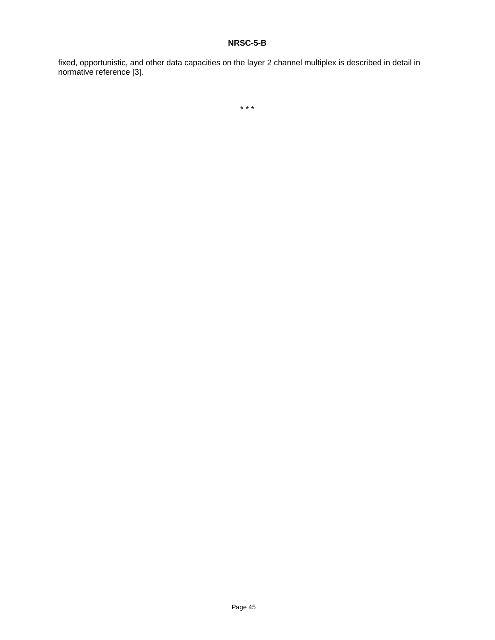fixed, opportunistic, and other data capacities on the layer 2 channel multiplex is described in detail in normative reference [3].

\* \* \*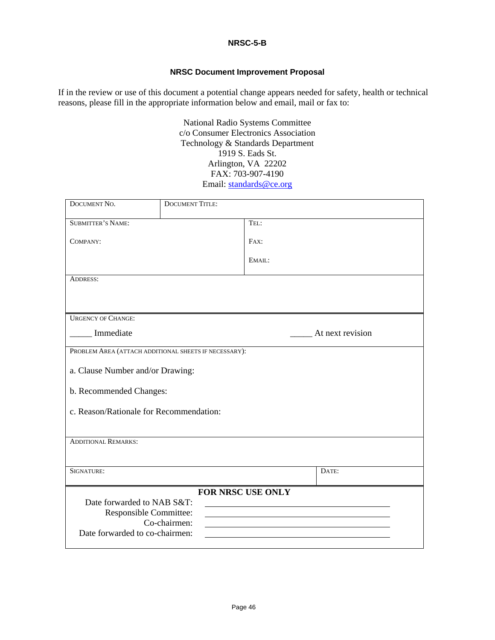#### **NRSC Document Improvement Proposal**

If in the review or use of this document a potential change appears needed for safety, health or technical reasons, please fill in the appropriate information below and email, mail or fax to:

> National Radio Systems Committee c/o Consumer Electronics Association Technology & Standards Department 1919 S. Eads St. Arlington, VA 22202 FAX: 703-907-4190 Email: standards@ce.org

| DOCUMENT NO.                                                                                         | <b>DOCUMENT TITLE:</b>     |        |                  |  |  |
|------------------------------------------------------------------------------------------------------|----------------------------|--------|------------------|--|--|
| <b>SUBMITTER'S NAME:</b>                                                                             |                            | TEL:   |                  |  |  |
| COMPANY:                                                                                             |                            | FAX:   |                  |  |  |
|                                                                                                      |                            | EMAIL: |                  |  |  |
| <b>ADDRESS:</b>                                                                                      |                            |        |                  |  |  |
|                                                                                                      |                            |        |                  |  |  |
| <b>URGENCY OF CHANGE:</b>                                                                            |                            |        |                  |  |  |
| Immediate                                                                                            |                            |        | At next revision |  |  |
| PROBLEM AREA (ATTACH ADDITIONAL SHEETS IF NECESSARY):                                                |                            |        |                  |  |  |
| a. Clause Number and/or Drawing:                                                                     |                            |        |                  |  |  |
| b. Recommended Changes:                                                                              |                            |        |                  |  |  |
| c. Reason/Rationale for Recommendation:                                                              |                            |        |                  |  |  |
| <b>ADDITIONAL REMARKS:</b>                                                                           |                            |        |                  |  |  |
|                                                                                                      |                            |        |                  |  |  |
| SIGNATURE:                                                                                           |                            |        | DATE:            |  |  |
| FOR NRSC USE ONLY                                                                                    |                            |        |                  |  |  |
|                                                                                                      | Date forwarded to NAB S&T: |        |                  |  |  |
| <b>Responsible Committee:</b><br><u> 1989 - Johann Barbara, martxa alemaniar arg</u><br>Co-chairmen: |                            |        |                  |  |  |
| Date forwarded to co-chairmen:                                                                       |                            |        |                  |  |  |